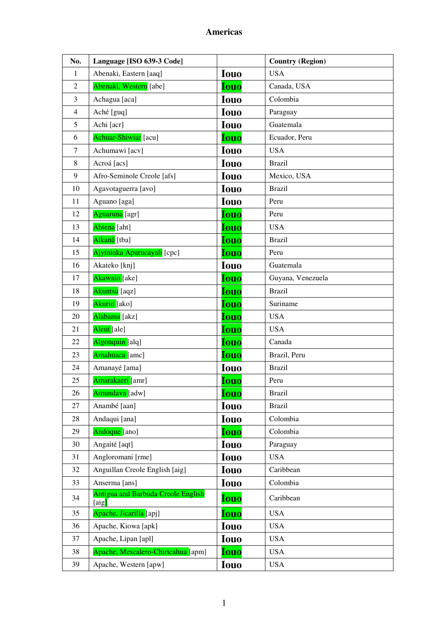| No.            | Language [ISO 639-3 Code]                          |             | <b>Country (Region)</b> |
|----------------|----------------------------------------------------|-------------|-------------------------|
| 1              | Abenaki, Eastern [aaq]                             | <b>Iouo</b> | <b>USA</b>              |
| $\overline{2}$ | Abenaki, Western [abe]                             | <b>Iouo</b> | Canada, USA             |
| 3              | Achagua [aca]                                      | <b>Iouo</b> | Colombia                |
| $\overline{4}$ | Aché [guq]                                         | <b>Iouo</b> | Paraguay                |
| 5              | Achi [acr]                                         | <b>Iouo</b> | Guatemala               |
| 6              | Achuar-Shiwiar [acu]                               | <b>Iouo</b> | Ecuador, Peru           |
| $\tau$         | Achumawi [acv]                                     | <b>Iouo</b> | <b>USA</b>              |
| 8              | Acroá [acs]                                        | <b>Iouo</b> | <b>Brazil</b>           |
| 9              | Afro-Seminole Creole [afs]                         | <b>Iouo</b> | Mexico, USA             |
| 10             | Agavotaguerra [avo]                                | <b>Iouo</b> | <b>Brazil</b>           |
| 11             | Aguano [aga]                                       | <b>Iouo</b> | Peru                    |
| 12             | Aguaruna [agr]                                     | <b>Iouo</b> | Peru                    |
| 13             | Ahtena [aht]                                       | <b>Iouo</b> | <b>USA</b>              |
| 14             | Aikanã [tba]                                       | <b>Iouo</b> | <b>Brazil</b>           |
| 15             | Ajyíninka Apurucayali [cpc]                        | <b>Iouo</b> | Peru                    |
| 16             | Akateko [knj]                                      | <b>Iouo</b> | Guatemala               |
| 17             | Akawaio [ake]                                      | <b>Iouo</b> | Guyana, Venezuela       |
| 18             | Akuntsu [aqz]                                      | <b>Iouo</b> | <b>Brazil</b>           |
| 19             | Akurio [ako]                                       | <b>Iouo</b> | Suriname                |
| 20             | Alabama [akz]                                      | <b>Iouo</b> | <b>USA</b>              |
| 21             | Aleut [ale]                                        | Iouo        | <b>USA</b>              |
| 22             | Algonquin [alq]                                    | Iouo        | Canada                  |
| 23             | Amahuaca [amc]                                     | <b>Iouo</b> | Brazil, Peru            |
| 24             | Amanayé [ama]                                      | <b>Iouo</b> | <b>Brazil</b>           |
| 25             | Amarakaeri [amr]                                   | <b>Iouo</b> | Peru                    |
| 26             | Amundava [adw]                                     | <b>Iouo</b> | <b>Brazil</b>           |
| 27             | Anambé [aan]                                       | <b>Iouo</b> | <b>Brazil</b>           |
| 28             | Andaqui [ana]                                      | <b>Iouo</b> | Colombia                |
| 29             | Andoque [ano]                                      | <b>Iouo</b> | Colombia                |
| 30             | Angaité [aqt]                                      | <b>Iouo</b> | Paraguay                |
| 31             | Angloromani [rme]                                  | <b>Iouo</b> | <b>USA</b>              |
| 32             | Anguillan Creole English [aig]                     | <b>Iouo</b> | Caribbean               |
| 33             | Anserma [ans]                                      | <b>Iouo</b> | Colombia                |
| 34             | <b>Antigua and Barbuda Creole English</b><br>[aig] | <b>Iouo</b> | Caribbean               |
| 35             | Apache, Jicarilla [apj]                            | <b>Iouo</b> | <b>USA</b>              |
| 36             | Apache, Kiowa [apk]                                | <b>Iouo</b> | <b>USA</b>              |
| 37             | Apache, Lipan [apl]                                | <b>Iouo</b> | <b>USA</b>              |
| 38             | Apache, Mescalero-Chiricahua [apm]                 | Iouo        | <b>USA</b>              |
| 39             | Apache, Western [apw]                              | <b>Iouo</b> | <b>USA</b>              |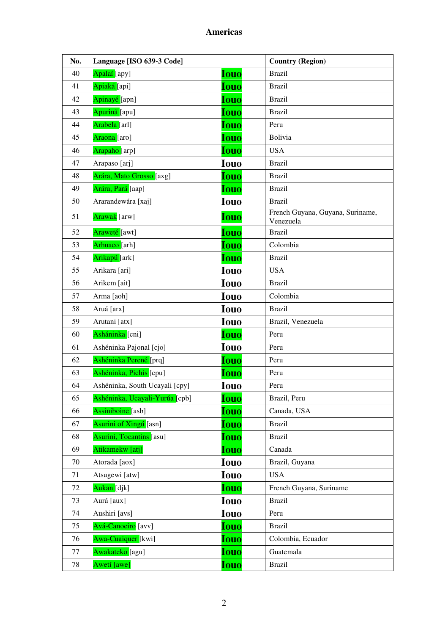| No. | Language [ISO 639-3 Code]       |             | <b>Country (Region)</b>                       |
|-----|---------------------------------|-------------|-----------------------------------------------|
| 40  | Apalaí [apy]                    | <b>Iouo</b> | <b>Brazil</b>                                 |
| 41  | Apiaká [api]                    | <b>Iouo</b> | <b>Brazil</b>                                 |
| 42  | Apinayé [apn]                   | <b>Iouo</b> | <b>Brazil</b>                                 |
| 43  | Apurinã [apu]                   | <b>Iouo</b> | <b>Brazil</b>                                 |
| 44  | Arabela [arl]                   | <b>Iouo</b> | Peru                                          |
| 45  | Araona <sup>[aro]</sup>         | <b>Iouo</b> | Bolivia                                       |
| 46  | Arapaho [arp]                   | <b>Iouo</b> | <b>USA</b>                                    |
| 47  | Arapaso [arj]                   | <b>Iouo</b> | <b>Brazil</b>                                 |
| 48  | Arára, Mato Grosso [axg]        | <b>Iouo</b> | <b>Brazil</b>                                 |
| 49  | Arára, Pará [aap]               | <b>Iouo</b> | <b>Brazil</b>                                 |
| 50  | Ararandewára [xaj]              | <b>Iouo</b> | <b>Brazil</b>                                 |
| 51  | Arawak [arw]                    | <b>Iouo</b> | French Guyana, Guyana, Suriname,<br>Venezuela |
| 52  | Araweté [awt]                   | <b>Iouo</b> | <b>Brazil</b>                                 |
| 53  | Arhuaco [arh]                   | <b>Iouo</b> | Colombia                                      |
| 54  | Arikapú [ark]                   | <b>Iouo</b> | <b>Brazil</b>                                 |
| 55  | Arikara [ari]                   | <b>Iouo</b> | <b>USA</b>                                    |
| 56  | Arikem [ait]                    | <b>Iouo</b> | <b>Brazil</b>                                 |
| 57  | Arma [aoh]                      | <b>Iouo</b> | Colombia                                      |
| 58  | Aruá [arx]                      | <b>Iouo</b> | <b>Brazil</b>                                 |
| 59  | Arutani [atx]                   | <b>Iouo</b> | Brazil, Venezuela                             |
| 60  | Asháninka [cni]                 | <b>Iouo</b> | Peru                                          |
| 61  | Ashéninka Pajonal [cjo]         | <b>Iouo</b> | Peru                                          |
| 62  | Ashéninka Perené [prq]          | <b>Iouo</b> | Peru                                          |
| 63  | Ashéninka, Pichis [cpu]         | <b>Iouo</b> | Peru                                          |
| 64  | Ashéninka, South Ucayali [cpy]  | <b>Iouo</b> | Peru                                          |
| 65  | Ashéninka, Ucayali-Yurúa [cpb]  | <b>Iouo</b> | Brazil, Peru                                  |
| 66  | Assiniboine [asb]               | <b>Iouo</b> | Canada, USA                                   |
| 67  | <b>Asurini of Xingu</b> [asn]   | <b>Iouo</b> | <b>Brazil</b>                                 |
| 68  | <b>Asurini, Tocantins</b> [asu] | <b>Iouo</b> | <b>Brazil</b>                                 |
| 69  | Atikamekw [atj]                 | <b>Iouo</b> | Canada                                        |
| 70  | Atorada [aox]                   | <b>Iouo</b> | Brazil, Guyana                                |
| 71  | Atsugewi [atw]                  | <b>Iouo</b> | <b>USA</b>                                    |
| 72  | Aukan [djk]                     | <b>Iouo</b> | French Guyana, Suriname                       |
| 73  | Aurá [aux]                      | <b>Iouo</b> | <b>Brazil</b>                                 |
| 74  | Aushiri [avs]                   | <b>Iouo</b> | Peru                                          |
| 75  | Avá-Canoeiro [avv]              | Iouo        | <b>Brazil</b>                                 |
| 76  | Awa-Cuaiquer [kwi]              | <b>Iouo</b> | Colombia, Ecuador                             |
| 77  | Awakateko [agu]                 | <b>Iouo</b> | Guatemala                                     |
| 78  | Awetí [awe]                     | <b>Iouo</b> | <b>Brazil</b>                                 |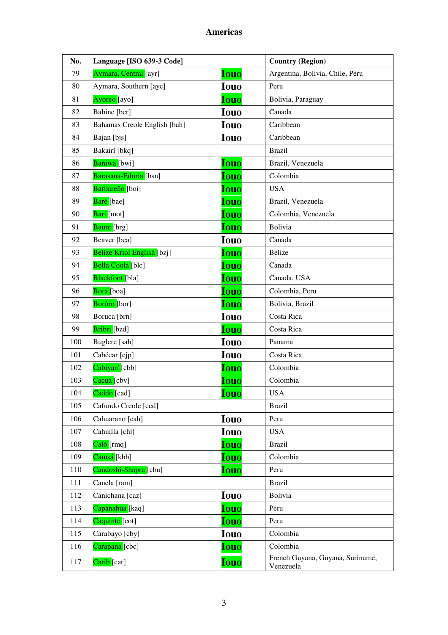| No. | Language [ISO 639-3 Code]         |             | <b>Country (Region)</b>                       |
|-----|-----------------------------------|-------------|-----------------------------------------------|
| 79  | Aymara, Central [ayr]             | <b>Iouo</b> | Argentina, Bolivia, Chile, Peru               |
| 80  | Aymara, Southern [ayc]            | <b>Iouo</b> | Peru                                          |
| 81  | Ayoreo [ayo]                      | <b>Iouo</b> | Bolivia, Paraguay                             |
| 82  | Babine [bcr]                      | <b>Iouo</b> | Canada                                        |
| 83  | Bahamas Creole English [bah]      | <b>Iouo</b> | Caribbean                                     |
| 84  | Bajan [bjs]                       | <b>Iouo</b> | Caribbean                                     |
| 85  | Bakairí [bkq]                     |             | <b>Brazil</b>                                 |
| 86  | Baniwa [bwi]                      | <b>Iouo</b> | Brazil, Venezuela                             |
| 87  | Barasana-Eduria [bsn]             | Iouo        | Colombia                                      |
| 88  | Barbareño [boi]                   | <b>Iouo</b> | <b>USA</b>                                    |
| 89  | Baré [bae]                        | <b>Iouo</b> | Brazil, Venezuela                             |
| 90  | Barí [mot]                        | <b>Iouo</b> | Colombia, Venezuela                           |
| 91  | Baure [brg]                       | <b>Iouo</b> | <b>Bolivia</b>                                |
| 92  | Beaver [bea]                      | <b>Iouo</b> | Canada                                        |
| 93  | <b>Belize Kriol English [bzj]</b> | <b>Iouo</b> | <b>Belize</b>                                 |
| 94  | Bella Coola [blc]                 | <b>Iouo</b> | Canada                                        |
| 95  | Blackfoot [bla]                   | <b>Iouo</b> | Canada, USA                                   |
| 96  | Bora [boa]                        | <b>Iouo</b> | Colombia, Peru                                |
| 97  | Borôro [bor]                      | <b>Iouo</b> | Bolivia, Brazil                               |
| 98  | Boruca [brn]                      | <b>Iouo</b> | Costa Rica                                    |
| 99  | Bribri [bzd]                      | <b>Iouo</b> | Costa Rica                                    |
| 100 | Buglere [sab]                     | <b>Iouo</b> | Panama                                        |
| 101 | Cabécar [cjp]                     | <b>Iouo</b> | Costa Rica                                    |
| 102 | Cabiyarí [cbb]                    | <b>Iouo</b> | Colombia                                      |
| 103 | Cacua <sup>[cbv]</sup>            | <b>Iouo</b> | Colombia                                      |
| 104 | Caddo [cad]                       | <b>Iouo</b> | <b>USA</b>                                    |
| 105 | Cafundo Creole [ccd]              |             | <b>Brazil</b>                                 |
| 106 | Cahuarano [cah]                   | <b>Iouo</b> | Peru                                          |
| 107 | Cahuilla [chl]                    | <b>Iouo</b> | <b>USA</b>                                    |
| 108 | Caló [rmq]                        | <b>Iouo</b> | <b>Brazil</b>                                 |
| 109 | Camsá [kbh]                       | <b>Iouo</b> | Colombia                                      |
| 110 | Candoshi-Shapra [cbu]             | Iouo        | Peru                                          |
| 111 | Canela [ram]                      |             | <b>Brazil</b>                                 |
| 112 | Canichana [caz]                   | <b>Iouo</b> | Bolivia                                       |
| 113 | Capanahua [kaq]                   | <b>Iouo</b> | Peru                                          |
| 114 | Caquinte [cot]                    | <b>Iouo</b> | Peru                                          |
| 115 | Carabayo [cby]                    | <b>Iouo</b> | Colombia                                      |
| 116 | Carapana [cbc]                    | <b>Iouo</b> | Colombia                                      |
| 117 | Carib [car]                       | <b>Iouo</b> | French Guyana, Guyana, Suriname,<br>Venezuela |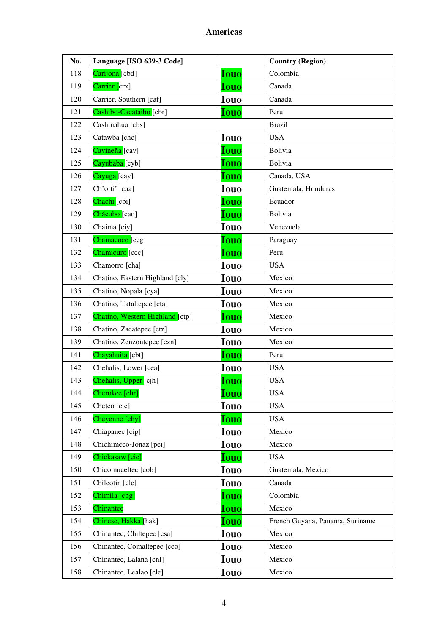| No. | Language [ISO 639-3 Code]       |             | <b>Country (Region)</b>         |
|-----|---------------------------------|-------------|---------------------------------|
| 118 | Carijona [cbd]                  | <b>Iouo</b> | Colombia                        |
| 119 | Carrier [crx]                   | <b>Iouo</b> | Canada                          |
| 120 | Carrier, Southern [caf]         | <b>Iouo</b> | Canada                          |
| 121 | Cashibo-Cacataibo [cbr]         | <b>Iouo</b> | Peru                            |
| 122 | Cashinahua [cbs]                |             | <b>Brazil</b>                   |
| 123 | Catawba [chc]                   | <b>Iouo</b> | <b>USA</b>                      |
| 124 | Cavineña [cav]                  | <b>Iouo</b> | Bolivia                         |
| 125 | Cayubaba [cyb]                  | Iouo        | Bolivia                         |
| 126 | Cayuga <sup>[cay]</sup>         | <b>Iouo</b> | Canada, USA                     |
| 127 | Ch'orti' [caa]                  | <b>Iouo</b> | Guatemala, Honduras             |
| 128 | Chachi [cbi]                    | <b>Iouo</b> | Ecuador                         |
| 129 | Chácobo <sup>[cao]</sup>        | <b>Iouo</b> | Bolivia                         |
| 130 | Chaima [ciy]                    | <b>Iouo</b> | Venezuela                       |
| 131 | Chamacoco [ceg]                 | <b>Iouo</b> | Paraguay                        |
| 132 | Chamicuro [ccc]                 | <b>Iouo</b> | Peru                            |
| 133 | Chamorro [cha]                  | <b>Iouo</b> | <b>USA</b>                      |
| 134 | Chatino, Eastern Highland [cly] | <b>Iouo</b> | Mexico                          |
| 135 | Chatino, Nopala [cya]           | <b>Iouo</b> | Mexico                          |
| 136 | Chatino, Tataltepec [cta]       | <b>Iouo</b> | Mexico                          |
| 137 | Chatino, Western Highland [ctp] | <b>Iouo</b> | Mexico                          |
| 138 | Chatino, Zacatepec [ctz]        | <b>Iouo</b> | Mexico                          |
| 139 | Chatino, Zenzontepec [czn]      | <b>Iouo</b> | Mexico                          |
| 141 | Chayahuita [cbt]                | <b>Iouo</b> | Peru                            |
| 142 | Chehalis, Lower [cea]           | <b>Iouo</b> | <b>USA</b>                      |
| 143 | Chehalis, Upper [cjh]           | <b>Iouo</b> | <b>USA</b>                      |
| 144 | Cherokee [chr]                  | <b>Iouo</b> | <b>USA</b>                      |
| 145 | Chetco [ctc]                    | <b>Iouo</b> | <b>USA</b>                      |
| 146 | Cheyenne [chy]                  | <b>Iouo</b> | <b>USA</b>                      |
| 147 | Chiapanec [cip]                 | <b>Iouo</b> | Mexico                          |
| 148 | Chichimeco-Jonaz [pei]          | <b>Iouo</b> | Mexico                          |
| 149 | Chickasaw [cic]                 | <b>Iouo</b> | <b>USA</b>                      |
| 150 | Chicomuceltec [cob]             | <b>Iouo</b> | Guatemala, Mexico               |
| 151 | Chilcotin [clc]                 | <b>Iouo</b> | Canada                          |
| 152 | Chimila [cbg]                   | <b>Iouo</b> | Colombia                        |
| 153 | Chinantec                       | <b>Iouo</b> | Mexico                          |
| 154 | Chinese, Hakka [hak]            | <b>Iouo</b> | French Guyana, Panama, Suriname |
| 155 | Chinantec, Chiltepec [csa]      | <b>Iouo</b> | Mexico                          |
| 156 | Chinantec, Comaltepec [cco]     | <b>Iouo</b> | Mexico                          |
| 157 | Chinantec, Lalana [cnl]         | <b>Iouo</b> | Mexico                          |
| 158 | Chinantec, Lealao [cle]         | <b>Iouo</b> | Mexico                          |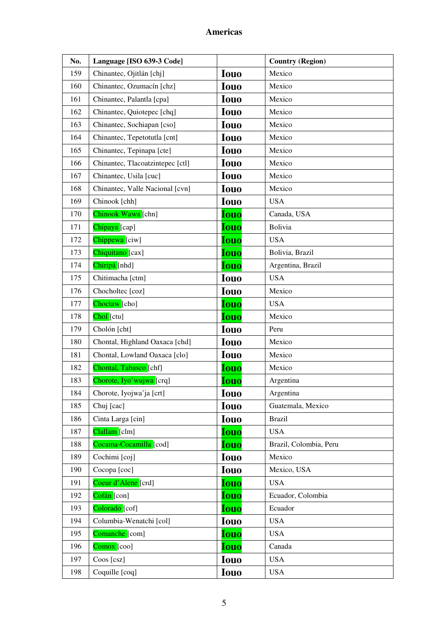| No. | Language [ISO 639-3 Code]        |             | <b>Country (Region)</b> |
|-----|----------------------------------|-------------|-------------------------|
| 159 | Chinantec, Ojitlán [chj]         | <b>Iouo</b> | Mexico                  |
| 160 | Chinantec, Ozumacín [chz]        | <b>Iouo</b> | Mexico                  |
| 161 | Chinantec, Palantla [cpa]        | <b>Iouo</b> | Mexico                  |
| 162 | Chinantec, Quiotepec [chq]       | <b>Iouo</b> | Mexico                  |
| 163 | Chinantec, Sochiapan [cso]       | <b>Iouo</b> | Mexico                  |
| 164 | Chinantec, Tepetotutla [cnt]     | <b>Iouo</b> | Mexico                  |
| 165 | Chinantec, Tepinapa [cte]        | <b>Iouo</b> | Mexico                  |
| 166 | Chinantec, Tlacoatzintepec [ctl] | <b>Iouo</b> | Mexico                  |
| 167 | Chinantec, Usila [cuc]           | <b>Iouo</b> | Mexico                  |
| 168 | Chinantec, Valle Nacional [cvn]  | <b>Iouo</b> | Mexico                  |
| 169 | Chinook [chh]                    | <b>Iouo</b> | <b>USA</b>              |
| 170 | Chinook Wawa [chn]               | <b>Iouo</b> | Canada, USA             |
| 171 | Chipaya [cap]                    | <b>Iouo</b> | <b>Bolivia</b>          |
| 172 | Chippewa <sup>[ciw]</sup>        | <b>Iouo</b> | <b>USA</b>              |
| 173 | Chiquitano [cax]                 | <b>Iouo</b> | Bolivia, Brazil         |
| 174 | Chiripá [nhd]                    | <b>Iouo</b> | Argentina, Brazil       |
| 175 | Chitimacha [ctm]                 | <b>Iouo</b> | <b>USA</b>              |
| 176 | Chocholtec [coz]                 | <b>Iouo</b> | Mexico                  |
| 177 | Choctaw <sup>[cho]</sup>         | <b>Iouo</b> | <b>USA</b>              |
| 178 | Chol [ctu]                       | <b>Iouo</b> | Mexico                  |
| 179 | Cholón [cht]                     | <b>Iouo</b> | Peru                    |
| 180 | Chontal, Highland Oaxaca [chd]   | <b>Iouo</b> | Mexico                  |
| 181 | Chontal, Lowland Oaxaca [clo]    | <b>Iouo</b> | Mexico                  |
| 182 | Chontal, Tabasco [chf]           | Iouo        | Mexico                  |
| 183 | Chorote, Iyo'wujwa [crq]         | <u>Iouo</u> | Argentina               |
| 184 | Chorote, Iyojwa'ja [crt]         | <b>Iouo</b> | Argentina               |
| 185 | Chuj [cac]                       | <b>Iouo</b> | Guatemala, Mexico       |
| 186 | Cinta Larga [cin]                | <b>Iouo</b> | <b>Brazil</b>           |
| 187 | Clallam [clm]                    | <b>Iouo</b> | <b>USA</b>              |
| 188 | Cocama-Cocamilla [cod]           | <b>Iouo</b> | Brazil, Colombia, Peru  |
| 189 | Cochimi [coj]                    | <b>Iouo</b> | Mexico                  |
| 190 | Cocopa [coc]                     | <b>Iouo</b> | Mexico, USA             |
| 191 | Coeur d'Alene <sup>[crd]</sup>   | <b>Iouo</b> | <b>USA</b>              |
| 192 | Cofán [con]                      | Iouo        | Ecuador, Colombia       |
| 193 | Colorado [cof]                   | <b>Iouo</b> | Ecuador                 |
| 194 | Columbia-Wenatchi [col]          | <b>Iouo</b> | <b>USA</b>              |
| 195 | Comanche [com]                   | <b>Iouo</b> | <b>USA</b>              |
| 196 | $Comox$ [coo]                    | <b>Iouo</b> | Canada                  |
| 197 | Coos [csz]                       | <b>Iouo</b> | <b>USA</b>              |
| 198 | Coquille [coq]                   | <b>Iouo</b> | <b>USA</b>              |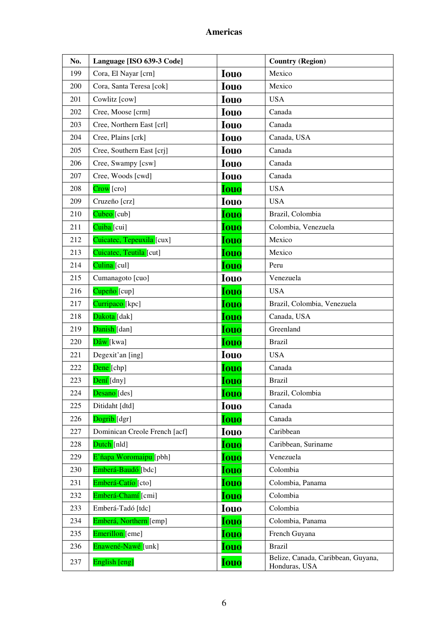| No. | Language [ISO 639-3 Code]     |             | <b>Country (Region)</b>                             |
|-----|-------------------------------|-------------|-----------------------------------------------------|
| 199 | Cora, El Nayar [crn]          | <b>Iouo</b> | Mexico                                              |
| 200 | Cora, Santa Teresa [cok]      | <b>Iouo</b> | Mexico                                              |
| 201 | Cowlitz [cow]                 | <b>Iouo</b> | <b>USA</b>                                          |
| 202 | Cree, Moose [crm]             | <b>Iouo</b> | Canada                                              |
| 203 | Cree, Northern East [crl]     | <b>Iouo</b> | Canada                                              |
| 204 | Cree, Plains [crk]            | <b>Iouo</b> | Canada, USA                                         |
| 205 | Cree, Southern East [crj]     | <b>Iouo</b> | Canada                                              |
| 206 | Cree, Swampy [csw]            | <b>Iouo</b> | Canada                                              |
| 207 | Cree, Woods [cwd]             | <b>Iouo</b> | Canada                                              |
| 208 | Crow [cro]                    | <b>Iouo</b> | <b>USA</b>                                          |
| 209 | Cruzeño [crz]                 | <b>Iouo</b> | <b>USA</b>                                          |
| 210 | Cubeo [cub]                   | <b>Iouo</b> | Brazil, Colombia                                    |
| 211 | Cuiba [cui]                   | <b>Iouo</b> | Colombia, Venezuela                                 |
| 212 | Cuicatec, Tepeuxila [cux]     | <b>Iouo</b> | Mexico                                              |
| 213 | Cuicatec, Teutila [cut]       | <b>Iouo</b> | Mexico                                              |
| 214 | Culina [cul]                  | <b>Iouo</b> | Peru                                                |
| 215 | Cumanagoto [cuo]              | <b>Iouo</b> | Venezuela                                           |
| 216 | Cupeño <sup>[cup]</sup>       | <b>Iouo</b> | <b>USA</b>                                          |
| 217 | Curripaco [kpc]               | <b>Iouo</b> | Brazil, Colombia, Venezuela                         |
| 218 | Dakota [dak]                  | <b>Iouo</b> | Canada, USA                                         |
| 219 | Danish [dan]                  | <b>Iouo</b> | Greenland                                           |
| 220 | Dâw [kwa]                     | <b>Iouo</b> | <b>Brazil</b>                                       |
| 221 | Degexit'an [ing]              | <b>Iouo</b> | <b>USA</b>                                          |
| 222 | Dene [chp]                    | <b>Iouo</b> | Canada                                              |
| 223 | Dení [dny]                    | <b>Iouo</b> | <b>Brazil</b>                                       |
| 224 | Desano [des]                  | <b>louo</b> | Brazil, Colombia                                    |
| 225 | Ditidaht [dtd]                | <b>Iouo</b> | Canada                                              |
| 226 | Dogrib [dgr]                  | <b>Iouo</b> | Canada                                              |
| 227 | Dominican Creole French [acf] | <b>Iouo</b> | Caribbean                                           |
| 228 | Dutch [nld]                   | <b>Iouo</b> | Caribbean, Suriname                                 |
| 229 | E'ñapa Woromaipu [pbh]        | Iouo        | Venezuela                                           |
| 230 | Emberá-Baudó [bdc]            | <b>Iouo</b> | Colombia                                            |
| 231 | Emberá-Catío [cto]            | <b>Iouo</b> | Colombia, Panama                                    |
| 232 | Emberá-Chamí [cmi]            | <b>Iouo</b> | Colombia                                            |
| 233 | Emberá-Tadó [tdc]             | Iouo        | Colombia                                            |
| 234 | Emberá, Northern [emp]        | <b>Iouo</b> | Colombia, Panama                                    |
| 235 | Emerillon [eme]               | Iouo        | French Guyana                                       |
| 236 | Enawené-Nawé [unk]            | <b>Iouo</b> | <b>Brazil</b>                                       |
| 237 | English [eng]                 | <b>Iouo</b> | Belize, Canada, Caribbean, Guyana,<br>Honduras, USA |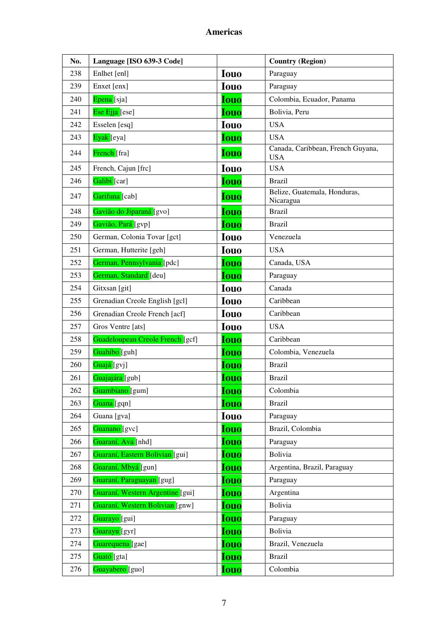| No. | Language [ISO 639-3 Code]        |             | <b>Country (Region)</b>                         |
|-----|----------------------------------|-------------|-------------------------------------------------|
| 238 | Enlhet [enl]                     | <b>Iouo</b> | Paraguay                                        |
| 239 | Enxet [enx]                      | <b>Iouo</b> | Paraguay                                        |
| 240 | Epena [sja]                      | <b>Iouo</b> | Colombia, Ecuador, Panama                       |
| 241 | Ese Ejja [ese]                   | <b>Iouo</b> | Bolivia, Peru                                   |
| 242 | Esselen [esq]                    | <b>Iouo</b> | <b>USA</b>                                      |
| 243 | Eyak [eya]                       | <b>Iouo</b> | <b>USA</b>                                      |
| 244 | French [fra]                     | <b>Iouo</b> | Canada, Caribbean, French Guyana,<br><b>USA</b> |
| 245 | French, Cajun [frc]              | <b>Iouo</b> | <b>USA</b>                                      |
| 246 | Galibi [car]                     | <b>Iouo</b> | <b>Brazil</b>                                   |
| 247 | Garifuna [cab]                   | <b>Iouo</b> | Belize, Guatemala, Honduras,<br>Nicaragua       |
| 248 | Gavião do Jiparaná [gvo]         | <b>Iouo</b> | <b>Brazil</b>                                   |
| 249 | Gavião, Pará [gvp]               | <b>Iouo</b> | <b>Brazil</b>                                   |
| 250 | German, Colonia Tovar [gct]      | <b>Iouo</b> | Venezuela                                       |
| 251 | German, Hutterite [geh]          | <b>Iouo</b> | <b>USA</b>                                      |
| 252 | German, Pennsylvania [pdc]       | <b>Iouo</b> | Canada, USA                                     |
| 253 | German, Standard [deu]           | <b>Iouo</b> | Paraguay                                        |
| 254 | Gitxsan [git]                    | <b>Iouo</b> | Canada                                          |
| 255 | Grenadian Creole English [gcl]   | <b>Iouo</b> | Caribbean                                       |
| 256 | Grenadian Creole French [acf]    | <b>Iouo</b> | Caribbean                                       |
| 257 | Gros Ventre [ats]                | <b>Iouo</b> | <b>USA</b>                                      |
| 258 | Guadeloupean Creole French [gcf] | <b>Iouo</b> | Caribbean                                       |
| 259 | Guahibo [guh]                    | <b>Iouo</b> | Colombia, Venezuela                             |
| 260 | Guajá [gvj]                      | <b>Iouo</b> | <b>Brazil</b>                                   |
| 261 | Guajajára [gub]                  | <b>Iouo</b> | <b>Brazil</b>                                   |
| 262 | Guambiano [gum]                  | <b>Iouo</b> | Colombia                                        |
| 263 | Guana [gqn]                      | <b>Iouo</b> | Brazil                                          |
| 264 | Guana [gva]                      | <b>Iouo</b> | Paraguay                                        |
| 265 | Guanano [gvc]                    | <b>Iouo</b> | Brazil, Colombia                                |
| 266 | Guaraní, Ava [nhd]               | <b>Iouo</b> | Paraguay                                        |
| 267 | Guaraní, Eastern Bolivian [gui]  | <b>Iouo</b> | Bolivia                                         |
| 268 | Guaraní, Mbyá [gun]              | <b>Iouo</b> | Argentina, Brazil, Paraguay                     |
| 269 | Guaraní, Paraguayan [gug]        | <b>Iouo</b> | Paraguay                                        |
| 270 | Guaraní, Western Argentine [gui] | <b>Iouo</b> | Argentina                                       |
| 271 | Guaraní, Western Bolivian [gnw]  | <b>Iouo</b> | Bolivia                                         |
| 272 | Guarayo [gui]                    | <b>Iouo</b> | Paraguay                                        |
| 273 | Guarayu <sup>[gyr]</sup>         | <b>Iouo</b> | Bolivia                                         |
| 274 | Guarequena [gae]                 | <b>Iouo</b> | Brazil, Venezuela                               |
| 275 | Guató [gta]                      | <b>Iouo</b> | <b>Brazil</b>                                   |
| 276 | Guayabero [guo]                  | <b>Iouo</b> | Colombia                                        |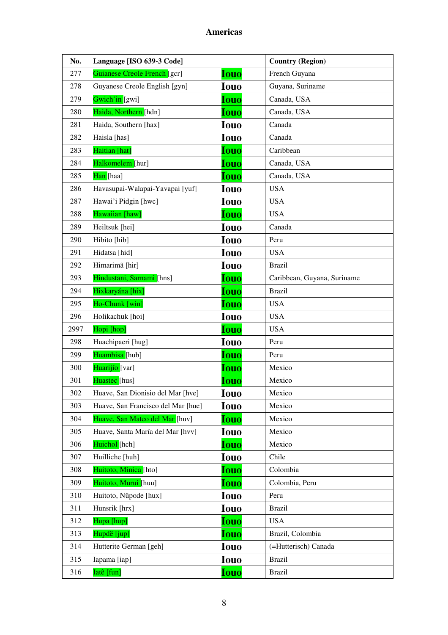| No.  | Language [ISO 639-3 Code]          |             | <b>Country (Region)</b>     |
|------|------------------------------------|-------------|-----------------------------|
| 277  | Guianese Creole French [gcr]       | <b>Iouo</b> | French Guyana               |
| 278  | Guyanese Creole English [gyn]      | <b>Iouo</b> | Guyana, Suriname            |
| 279  | Gwich'in [gwi]                     | <b>Iouo</b> | Canada, USA                 |
| 280  | Haida, Northern [hdn]              | <b>Iouo</b> | Canada, USA                 |
| 281  | Haida, Southern [hax]              | <b>Iouo</b> | Canada                      |
| 282  | Haisla [has]                       | <b>Iouo</b> | Canada                      |
| 283  | Haitian [hat]                      | <b>Iouo</b> | Caribbean                   |
| 284  | Halkomelem [hur]                   | Iouo        | Canada, USA                 |
| 285  | Han [haa]                          | <b>Iouo</b> | Canada, USA                 |
| 286  | Havasupai-Walapai-Yavapai [yuf]    | <b>Iouo</b> | <b>USA</b>                  |
| 287  | Hawai'i Pidgin [hwc]               | <b>Iouo</b> | <b>USA</b>                  |
| 288  | Hawaiian [haw]                     | <b>Iouo</b> | <b>USA</b>                  |
| 289  | Heiltsuk [hei]                     | <b>Iouo</b> | Canada                      |
| 290  | Hibito [hib]                       | <b>Iouo</b> | Peru                        |
| 291  | Hidatsa [hid]                      | <b>Iouo</b> | <b>USA</b>                  |
| 292  | Himarimã [hir]                     | <b>Iouo</b> | <b>Brazil</b>               |
| 293  | Hindustani, Sarnami [hns]          | <b>Iouo</b> | Caribbean, Guyana, Suriname |
| 294  | Hixkaryána [hix]                   | <b>Iouo</b> | <b>Brazil</b>               |
| 295  | Ho-Chunk [win]                     | <b>Iouo</b> | <b>USA</b>                  |
| 296  | Holikachuk [hoi]                   | <b>Iouo</b> | <b>USA</b>                  |
| 2997 | Hopi [hop]                         | <b>Iouo</b> | <b>USA</b>                  |
| 298  | Huachipaeri [hug]                  | <b>Iouo</b> | Peru                        |
| 299  | Huambisa [hub]                     | <b>Iouo</b> | Peru                        |
| 300  | Huarijío [var]                     | <b>Iouo</b> | Mexico                      |
| 301  | Huastec [hus]                      | <b>Iouo</b> | Mexico                      |
| 302  | Huave, San Dionisio del Mar [hve]  | Iouo        | Mexico                      |
| 303  | Huave, San Francisco del Mar [hue] | <b>Iouo</b> | Mexico                      |
| 304  | Huave, San Mateo del Mar [huv]     | <b>Iouo</b> | Mexico                      |
| 305  | Huave, Santa María del Mar [hvv]   | <b>Iouo</b> | Mexico                      |
| 306  | Huichol [hch]                      | <b>Iouo</b> | Mexico                      |
| 307  | Huilliche [huh]                    | <b>Iouo</b> | Chile                       |
| 308  | Huitoto, Minica [hto]              | Iouo        | Colombia                    |
| 309  | Huitoto, Murui [huu]               | <b>Iouo</b> | Colombia, Peru              |
| 310  | Huitoto, Nüpode [hux]              | <b>Iouo</b> | Peru                        |
| 311  | Hunsrik [hrx]                      | <b>Iouo</b> | <b>Brazil</b>               |
| 312  | Hupa [hup]                         | <b>Iouo</b> | <b>USA</b>                  |
| 313  | Hupdë [jup]                        | Iouo        | Brazil, Colombia            |
| 314  | Hutterite German [geh]             | <b>Iouo</b> | (=Hutterisch) Canada        |
| 315  | Iapama [iap]                       | <b>Iouo</b> | <b>Brazil</b>               |
| 316  | Iatê [fun]                         | <b>Iouo</b> | <b>Brazil</b>               |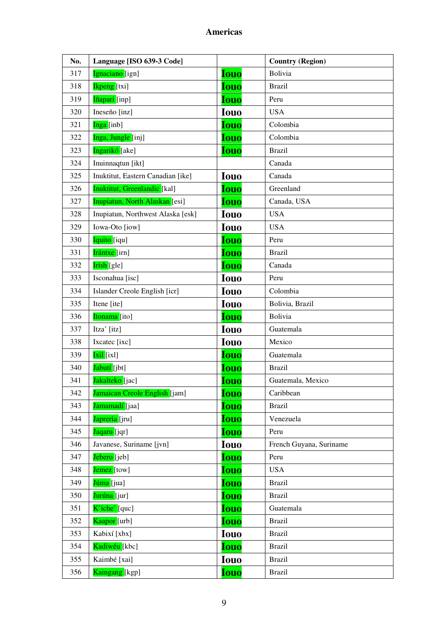| No. | Language [ISO 639-3 Code]         |             | <b>Country (Region)</b> |
|-----|-----------------------------------|-------------|-------------------------|
| 317 | Ignaciano [ign]                   | <b>Iouo</b> | <b>Bolivia</b>          |
| 318 | <b>Ikpeng</b> [txi]               | <b>Iouo</b> | <b>Brazil</b>           |
| 319 | Iñapari [inp]                     | <b>Iouo</b> | Peru                    |
| 320 | Ineseño [inz]                     | <b>Iouo</b> | <b>USA</b>              |
| 321 | Inga [inb]                        | Iouo        | Colombia                |
| 322 | Inga, Jungle [inj]                | <b>Iouo</b> | Colombia                |
| 323 | Ingarikó [ake]                    | <b>Iouo</b> | <b>Brazil</b>           |
| 324 | Inuinnaqtun [ikt]                 |             | Canada                  |
| 325 | Inuktitut, Eastern Canadian [ike] | <b>Iouo</b> | Canada                  |
| 326 | Inuktitut, Greenlandic [kal]      | <b>Iouo</b> | Greenland               |
| 327 | Inupiatun, North Alaskan [esi]    | <b>Iouo</b> | Canada, USA             |
| 328 | Inupiatun, Northwest Alaska [esk] | <b>Iouo</b> | <b>USA</b>              |
| 329 | Iowa-Oto [iow]                    | <b>Iouo</b> | <b>USA</b>              |
| 330 | Iquito [iqu]                      | <b>Iouo</b> | Peru                    |
| 331 | <b>Irántxe</b> [irn]              | <b>Iouo</b> | <b>Brazil</b>           |
| 332 | Irish [gle]                       | <b>Iouo</b> | Canada                  |
| 333 | Isconahua [isc]                   | <b>Iouo</b> | Peru                    |
| 334 | Islander Creole English [icr]     | <b>Iouo</b> | Colombia                |
| 335 | Itene [ite]                       | <b>Iouo</b> | Bolivia, Brazil         |
| 336 | Itonama [ito]                     | <b>Iouo</b> | <b>Bolivia</b>          |
| 337 | Itza' [itz]                       | <b>Iouo</b> | Guatemala               |
| 338 | Ixcatec [ixc]                     | <b>Iouo</b> | Mexico                  |
| 339 | Ixil [ixl]                        | <b>Iouo</b> | Guatemala               |
| 340 | Jabutí [jbt]                      | <b>Iouo</b> | <b>Brazil</b>           |
| 341 | Jakalteko [jac]                   | <b>Iouo</b> | Guatemala, Mexico       |
| 342 | Jamaican Creole English [jam]     | <b>Iouo</b> | Caribbean               |
| 343 | Jamamadí [jaa]                    | <b>Iouo</b> | <b>Brazil</b>           |
| 344 | Japreria [jru]                    | <b>Iouo</b> | Venezuela               |
| 345 | Jaqaru [jqr]                      | <b>Iouo</b> | Peru                    |
| 346 | Javanese, Suriname [jvn]          | <b>Iouo</b> | French Guyana, Suriname |
| 347 | Jebero [jeb]                      | <b>Iouo</b> | Peru                    |
| 348 | Jemez [tow]                       | <b>Iouo</b> | <b>USA</b>              |
| 349 | Júma [jua]                        | <b>Iouo</b> | <b>Brazil</b>           |
| 350 | Jurúna [jur]                      | <b>Iouo</b> | <b>Brazil</b>           |
| 351 | K'iche' [quc]                     | <b>Iouo</b> | Guatemala               |
| 352 | Kaapor [urb]                      | <b>Iouo</b> | <b>Brazil</b>           |
| 353 | Kabixí [xbx]                      | <b>Iouo</b> | <b>Brazil</b>           |
| 354 | Kadiwéu [kbc]                     | <b>Iouo</b> | <b>Brazil</b>           |
| 355 | Kaimbé [xai]                      | <b>Iouo</b> | <b>Brazil</b>           |
| 356 | Kaingang [kgp]                    | <b>Iouo</b> | <b>Brazil</b>           |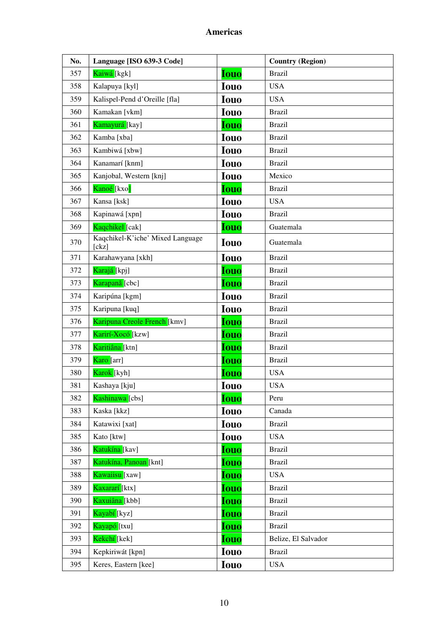| No. | Language [ISO 639-3 Code]                 |             | <b>Country (Region)</b> |
|-----|-------------------------------------------|-------------|-------------------------|
| 357 | Kaiwá [kgk]                               | <b>Iouo</b> | <b>Brazil</b>           |
| 358 | Kalapuya [kyl]                            | <b>Iouo</b> | <b>USA</b>              |
| 359 | Kalispel-Pend d'Oreille [fla]             | <b>Iouo</b> | <b>USA</b>              |
| 360 | Kamakan [vkm]                             | <b>Iouo</b> | <b>Brazil</b>           |
| 361 | Kamayurá [kay]                            | <b>Iouo</b> | <b>Brazil</b>           |
| 362 | Kamba [xba]                               | <b>Iouo</b> | <b>Brazil</b>           |
| 363 | Kambiwá [xbw]                             | <b>Iouo</b> | <b>Brazil</b>           |
| 364 | Kanamarí [knm]                            | <b>Iouo</b> | <b>Brazil</b>           |
| 365 | Kanjobal, Western [knj]                   | <b>Iouo</b> | Mexico                  |
| 366 | Kanoé [kxo]                               | <b>Iouo</b> | <b>Brazil</b>           |
| 367 | Kansa [ksk]                               | <b>Iouo</b> | <b>USA</b>              |
| 368 | Kapinawá [xpn]                            | <b>Iouo</b> | <b>Brazil</b>           |
| 369 | Kaqchikel [cak]                           | Iouo        | Guatemala               |
| 370 | Kaqchikel-K'iche' Mixed Language<br>[ckz] | <b>Iouo</b> | Guatemala               |
| 371 | Karahawyana [xkh]                         | <b>Iouo</b> | <b>Brazil</b>           |
| 372 | Karajá [kpj]                              | <b>Iouo</b> | <b>Brazil</b>           |
| 373 | Karapanã [cbc]                            | <b>Iouo</b> | <b>Brazil</b>           |
| 374 | Karipúna [kgm]                            | <b>Iouo</b> | <b>Brazil</b>           |
| 375 | Karipuna [kuq]                            | <b>Iouo</b> | <b>Brazil</b>           |
| 376 | Karipuna Creole French [kmv]              | <b>Iouo</b> | <b>Brazil</b>           |
| 377 | Karirí-Xocó [kzw]                         | <b>Iouo</b> | <b>Brazil</b>           |
| 378 | Karitiâna [ktn]                           | <b>Iouo</b> | <b>Brazil</b>           |
| 379 | Karo [arr]                                | <b>Iouo</b> | <b>Brazil</b>           |
| 380 | Karok [kyh]                               | <b>Iouo</b> | <b>USA</b>              |
| 381 | Kashaya [kju]                             | <b>Iouo</b> | <b>USA</b>              |
| 382 | Kashinawa [cbs]                           | <b>Iouo</b> | Peru                    |
| 383 | Kaska [kkz]                               | <b>Iouo</b> | Canada                  |
| 384 | Katawixi [xat]                            | <b>Iouo</b> | <b>Brazil</b>           |
| 385 | Kato [ktw]                                | <b>Iouo</b> | <b>USA</b>              |
| 386 | Katukína [kav]                            | Iouo        | <b>Brazil</b>           |
| 387 | Katukína, Panoan [knt]                    | <b>Iouo</b> | <b>Brazil</b>           |
| 388 | Kawaiisu [xaw]                            | <b>Iouo</b> | <b>USA</b>              |
| 389 | Kaxararí [ktx]                            | <b>Iouo</b> | <b>Brazil</b>           |
| 390 | Kaxuiâna [kbb]                            | <b>Iouo</b> | <b>Brazil</b>           |
| 391 | Kayabí <sup>[kyz]</sup>                   | Iouo        | <b>Brazil</b>           |
| 392 | Kayapó [txu]                              | <b>Iouo</b> | <b>Brazil</b>           |
| 393 | Kekchí [kek]                              | Iouo        | Belize, El Salvador     |
| 394 | Kepkiriwát [kpn]                          | <b>Iouo</b> | <b>Brazil</b>           |
| 395 | Keres, Eastern [kee]                      | <b>Iouo</b> | <b>USA</b>              |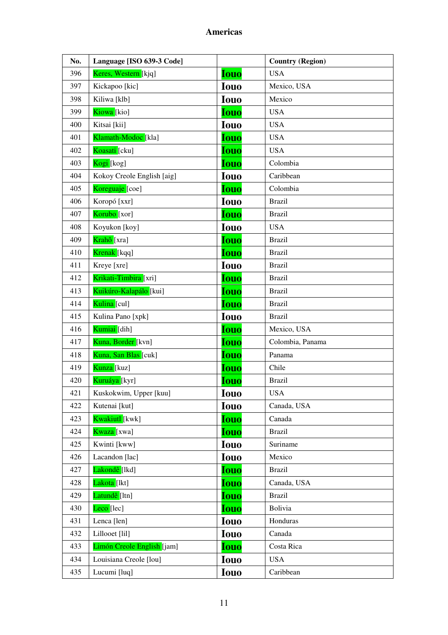| No. | Language [ISO 639-3 Code]           |             | <b>Country (Region)</b> |
|-----|-------------------------------------|-------------|-------------------------|
| 396 | Keres, Western [kjq]                | <b>Iouo</b> | <b>USA</b>              |
| 397 | Kickapoo [kic]                      | <b>Iouo</b> | Mexico, USA             |
| 398 | Kiliwa [klb]                        | <b>Iouo</b> | Mexico                  |
| 399 | Kiowa [kio]                         | <b>Iouo</b> | <b>USA</b>              |
| 400 | Kitsai [kii]                        | <b>Iouo</b> | <b>USA</b>              |
| 401 | Klamath-Modoc <sup>[kla]</sup>      | <b>Iouo</b> | <b>USA</b>              |
| 402 | Koasati [cku]                       | <b>Iouo</b> | <b>USA</b>              |
| 403 | Kogi [kog]                          | <b>Iouo</b> | Colombia                |
| 404 | Kokoy Creole English [aig]          | <b>Iouo</b> | Caribbean               |
| 405 | Koreguaje [coe]                     | <b>Iouo</b> | Colombia                |
| 406 | Koropó [xxr]                        | <b>Iouo</b> | <b>Brazil</b>           |
| 407 | Korubo <sup>[xor]</sup>             | <b>Iouo</b> | <b>Brazil</b>           |
| 408 | Koyukon [koy]                       | <b>Iouo</b> | <b>USA</b>              |
| 409 | Krahô [xra]                         | <b>Iouo</b> | <b>Brazil</b>           |
| 410 | Krenak [kqq]                        | <b>Iouo</b> | <b>Brazil</b>           |
| 411 | Kreye [xre]                         | <b>Iouo</b> | <b>Brazil</b>           |
| 412 | Krikati-Timbi <mark>ra</mark> [xri] | <b>Iouo</b> | <b>Brazil</b>           |
| 413 | Kuikúro-Kalapálo [kui]              | <b>Iouo</b> | <b>Brazil</b>           |
| 414 | Kulina [cul]                        | <b>Iouo</b> | <b>Brazil</b>           |
| 415 | Kulina Pano [xpk]                   | <b>Iouo</b> | <b>Brazil</b>           |
| 416 | Kumiai [dih]                        | <b>Iouo</b> | Mexico, USA             |
| 417 | Kuna, Border [kvn]                  | <b>Iouo</b> | Colombia, Panama        |
| 418 | Kuna, San Blas [cuk]                | <b>Iouo</b> | Panama                  |
| 419 | Kunza [kuz]                         | <b>Iouo</b> | Chile                   |
| 420 | Kuruáya [kyr]                       | <b>Iouo</b> | <b>Brazil</b>           |
| 421 | Kuskokwim, Upper [kuu]              | <b>Iouo</b> | <b>USA</b>              |
| 422 | Kutenai [kut]                       | <b>Iouo</b> | Canada, USA             |
| 423 | Kwakiutl [kwk]                      | <b>Iouo</b> | Canada                  |
| 424 | Kwaza [xwa]                         | Iouo        | <b>Brazil</b>           |
| 425 | Kwinti [kww]                        | <b>Iouo</b> | Suriname                |
| 426 | Lacandon [lac]                      | <b>Iouo</b> | Mexico                  |
| 427 | Lakondê [lkd]                       | <b>Iouo</b> | <b>Brazil</b>           |
| 428 | Lakota [lkt]                        | <b>Iouo</b> | Canada, USA             |
| 429 | Latundê [ltn]                       | <b>Iouo</b> | <b>Brazil</b>           |
| 430 | Leco <sup>[lec]</sup>               | Iouo        | Bolivia                 |
| 431 | Lenca [len]                         | <b>Iouo</b> | Honduras                |
| 432 | Lillooet [lil]                      | <b>Iouo</b> | Canada                  |
| 433 | Limón Creole English [jam]          | <b>Iouo</b> | Costa Rica              |
| 434 | Louisiana Creole [lou]              | <b>Iouo</b> | <b>USA</b>              |
| 435 | Lucumi [luq]                        | Iouo        | Caribbean               |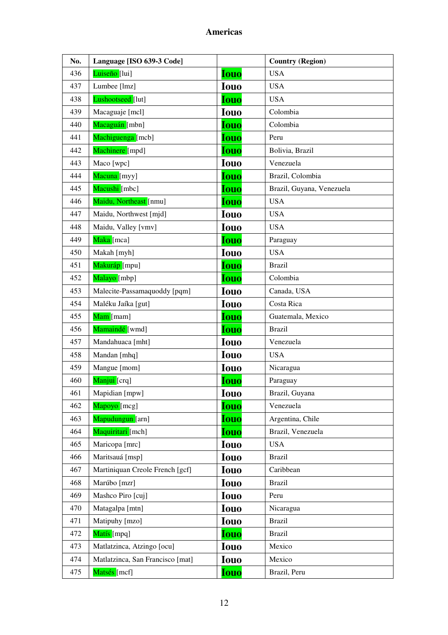| No. | Language [ISO 639-3 Code]        |             | <b>Country (Region)</b>   |
|-----|----------------------------------|-------------|---------------------------|
| 436 | Luiseño [lui]                    | <b>Iouo</b> | <b>USA</b>                |
| 437 | Lumbee [lmz]                     | <b>Iouo</b> | <b>USA</b>                |
| 438 | Lushootseed [lut]                | <b>Iouo</b> | <b>USA</b>                |
| 439 | Macaguaje [mcl]                  | <b>Iouo</b> | Colombia                  |
| 440 | Macaguán [mbn]                   | <b>Iouo</b> | Colombia                  |
| 441 | Machiguenga [mcb]                | <b>Iouo</b> | Peru                      |
| 442 | Machinere [mpd]                  | <b>Iouo</b> | Bolivia, Brazil           |
| 443 | Maco [wpc]                       | <b>Iouo</b> | Venezuela                 |
| 444 | Macuna [myy]                     | <b>Iouo</b> | Brazil, Colombia          |
| 445 | Macushi [mbc]                    | <b>Iouo</b> | Brazil, Guyana, Venezuela |
| 446 | Maidu, Northeast [nmu]           | <b>Iouo</b> | <b>USA</b>                |
| 447 | Maidu, Northwest [mjd]           | <b>Iouo</b> | <b>USA</b>                |
| 448 | Maidu, Valley [vmv]              | <b>Iouo</b> | <b>USA</b>                |
| 449 | Maka [mca]                       | <b>Iouo</b> | Paraguay                  |
| 450 | Makah [myh]                      | <b>Iouo</b> | <b>USA</b>                |
| 451 | Makuráp [mpu]                    | <b>Iouo</b> | <b>Brazil</b>             |
| 452 | Malayo [mbp]                     | <b>Iouo</b> | Colombia                  |
| 453 | Malecite-Passamaquoddy [pqm]     | <b>Iouo</b> | Canada, USA               |
| 454 | Maléku Jaíka [gut]               | <b>Iouo</b> | Costa Rica                |
| 455 | Mam [mam]                        | <b>Iouo</b> | Guatemala, Mexico         |
| 456 | Mamaindé [wmd]                   | <b>Iouo</b> | <b>Brazil</b>             |
| 457 | Mandahuaca [mht]                 | <b>Iouo</b> | Venezuela                 |
| 458 | Mandan [mhq]                     | <b>Iouo</b> | <b>USA</b>                |
| 459 | Mangue [mom]                     | <b>Iouo</b> | Nicaragua                 |
| 460 | Manjui [crq]                     | <b>Iouo</b> | Paraguay                  |
| 461 | Mapidian [mpw]                   | <b>Iouo</b> | Brazil, Guyana            |
| 462 | Mapoyo [mcg]                     | <b>Iouo</b> | Venezuela                 |
| 463 | Mapudungun [arn]                 | <b>Iouo</b> | Argentina, Chile          |
| 464 | Maquiritari [mch]                | <b>Iouo</b> | Brazil, Venezuela         |
| 465 | Maricopa [mrc]                   | <b>Iouo</b> | <b>USA</b>                |
| 466 | Maritsauá [msp]                  | <b>Iouo</b> | <b>Brazil</b>             |
| 467 | Martiniquan Creole French [gcf]  | <b>Iouo</b> | Caribbean                 |
| 468 | Marúbo [mzr]                     | <b>Iouo</b> | <b>Brazil</b>             |
| 469 | Mashco Piro [cuj]                | <b>Iouo</b> | Peru                      |
| 470 | Matagalpa [mtn]                  | <b>Iouo</b> | Nicaragua                 |
| 471 | Matipuhy [mzo]                   | <b>Iouo</b> | <b>Brazil</b>             |
| 472 | Matís [mpq]                      | <b>Iouo</b> | <b>Brazil</b>             |
| 473 | Matlatzinca, Atzingo [ocu]       | Iouo        | Mexico                    |
| 474 | Matlatzinca, San Francisco [mat] | <b>Iouo</b> | Mexico                    |
| 475 | Matsés [mcf]                     | <b>Iouo</b> | Brazil, Peru              |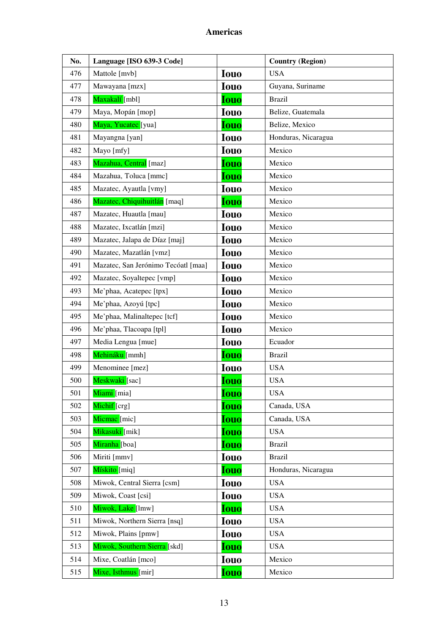| No. | Language [ISO 639-3 Code]           |             | <b>Country (Region)</b> |
|-----|-------------------------------------|-------------|-------------------------|
| 476 | Mattole [mvb]                       | <b>Iouo</b> | <b>USA</b>              |
| 477 | Mawayana [mzx]                      | <b>Iouo</b> | Guyana, Suriname        |
| 478 | Maxakalí [mbl]                      | <b>Iouo</b> | <b>Brazil</b>           |
| 479 | Maya, Mopán [mop]                   | <b>Iouo</b> | Belize, Guatemala       |
| 480 | Maya, Yucatec [yua]                 | <b>Iouo</b> | Belize, Mexico          |
| 481 | Mayangna [yan]                      | <b>Iouo</b> | Honduras, Nicaragua     |
| 482 | Mayo [mfy]                          | <b>Iouo</b> | Mexico                  |
| 483 | Mazahua, Central [maz]              | <b>Iouo</b> | Mexico                  |
| 484 | Mazahua, Toluca [mmc]               | <b>Iouo</b> | Mexico                  |
| 485 | Mazatec, Ayautla [vmy]              | <b>Iouo</b> | Mexico                  |
| 486 | Mazatec, Chiquihuitlán [maq]        | <b>Iouo</b> | Mexico                  |
| 487 | Mazatec, Huautla [mau]              | <b>Iouo</b> | Mexico                  |
| 488 | Mazatec, Ixcatlán [mzi]             | <b>Iouo</b> | Mexico                  |
| 489 | Mazatec, Jalapa de Díaz [maj]       | <b>Iouo</b> | Mexico                  |
| 490 | Mazatec, Mazatlán [vmz]             | <b>Iouo</b> | Mexico                  |
| 491 | Mazatec, San Jerónimo Tecóatl [maa] | <b>Iouo</b> | Mexico                  |
| 492 | Mazatec, Soyaltepec [vmp]           | <b>Iouo</b> | Mexico                  |
| 493 | Me'phaa, Acatepec [tpx]             | <b>Iouo</b> | Mexico                  |
| 494 | Me'phaa, Azoyú [tpc]                | <b>Iouo</b> | Mexico                  |
| 495 | Me'phaa, Malinaltepec [tcf]         | <b>Iouo</b> | Mexico                  |
| 496 | Me'phaa, Tlacoapa [tpl]             | <b>Iouo</b> | Mexico                  |
| 497 | Media Lengua [mue]                  | <b>Iouo</b> | Ecuador                 |
| 498 | Mehináku [mmh]                      | <b>Iouo</b> | <b>Brazil</b>           |
| 499 | Menominee [mez]                     | <b>Iouo</b> | <b>USA</b>              |
| 500 | Meskwaki [sac]                      | <u>Iouo</u> | <b>USA</b>              |
| 501 | Miami [mia]                         | <u>Iouo</u> | <b>USA</b>              |
| 502 | Michif <sup>[crg]</sup>             | <b>Iouo</b> | Canada, USA             |
| 503 | Micmac [mic]                        | <b>Iouo</b> | Canada, USA             |
| 504 | <mark>Mikasuki [</mark> mik]        | <b>Iouo</b> | <b>USA</b>              |
| 505 | Miranha [boa]                       | <b>Iouo</b> | <b>Brazil</b>           |
| 506 | Miriti [mmv]                        | <b>Iouo</b> | <b>Brazil</b>           |
| 507 | Mískito [miq]                       | <b>Iouo</b> | Honduras, Nicaragua     |
| 508 | Miwok, Central Sierra [csm]         | <b>Iouo</b> | <b>USA</b>              |
| 509 | Miwok, Coast [csi]                  | Iouo        | <b>USA</b>              |
| 510 | Miwok, Lake [lmw]                   | <b>Iouo</b> | <b>USA</b>              |
| 511 | Miwok, Northern Sierra [nsq]        | <b>Iouo</b> | <b>USA</b>              |
| 512 | Miwok, Plains [pmw]                 | <b>Iouo</b> | <b>USA</b>              |
| 513 | Miwok, Southern Sierra [skd]        | Iouo        | <b>USA</b>              |
| 514 | Mixe, Coatlán [mco]                 | <b>Iouo</b> | Mexico                  |
| 515 | Mixe, Isthmus [mir]                 | <b>Iouo</b> | Mexico                  |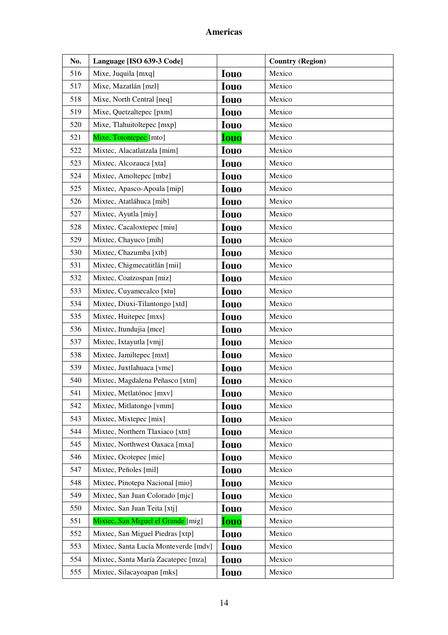| No. | Language [ISO 639-3 Code]            |             | <b>Country (Region)</b> |
|-----|--------------------------------------|-------------|-------------------------|
| 516 | Mixe, Juquila [mxq]                  | <b>Iouo</b> | Mexico                  |
| 517 | Mixe, Mazatlán [mzl]                 | <b>Iouo</b> | Mexico                  |
| 518 | Mixe, North Central [neq]            | <b>Iouo</b> | Mexico                  |
| 519 | Mixe, Quetzaltepec [pxm]             | <b>Iouo</b> | Mexico                  |
| 520 | Mixe, Tlahuitoltepec [mxp]           | <b>Iouo</b> | Mexico                  |
| 521 | Mixe, Totontepec [mto]               | <b>Iouo</b> | Mexico                  |
| 522 | Mixtec, Alacatlatzala [mim]          | <b>Iouo</b> | Mexico                  |
| 523 | Mixtec, Alcozauca [xta]              | <b>Iouo</b> | Mexico                  |
| 524 | Mixtec, Amoltepec [mbz]              | <b>Iouo</b> | Mexico                  |
| 525 | Mixtec, Apasco-Apoala [mip]          | <b>Iouo</b> | Mexico                  |
| 526 | Mixtec, Atatláhuca [mib]             | <b>Iouo</b> | Mexico                  |
| 527 | Mixtec, Ayutla [miy]                 | <b>Iouo</b> | Mexico                  |
| 528 | Mixtec, Cacaloxtepec [miu]           | <b>Iouo</b> | Mexico                  |
| 529 | Mixtec, Chayuco [mih]                | <b>Iouo</b> | Mexico                  |
| 530 | Mixtec, Chazumba [xtb]               | <b>Iouo</b> | Mexico                  |
| 531 | Mixtec, Chigmecatitlán [mii]         | <b>Iouo</b> | Mexico                  |
| 532 | Mixtec, Coatzospan [miz]             | <b>Iouo</b> | Mexico                  |
| 533 | Mixtec, Cuyamecalco [xtu]            | <b>Iouo</b> | Mexico                  |
| 534 | Mixtec, Diuxi-Tilantongo [xtd]       | <b>Iouo</b> | Mexico                  |
| 535 | Mixtec, Huitepec [mxs]               | <b>Iouo</b> | Mexico                  |
| 536 | Mixtec, Itundujia [mce]              | <b>Iouo</b> | Mexico                  |
| 537 | Mixtec, Ixtayutla [vmj]              | <b>Iouo</b> | Mexico                  |
| 538 | Mixtec, Jamiltepec [mxt]             | <b>Iouo</b> | Mexico                  |
| 539 | Mixtec, Juxtlahuaca [vmc]            | <b>Iouo</b> | Mexico                  |
| 540 | Mixtec, Magdalena Peñasco [xtm]      | <b>Iouo</b> | Mexico                  |
| 541 | Mixtec, Metlatónoc [mxv]             | <b>Iouo</b> | Mexico                  |
| 542 | Mixtec, Mitlatongo [vmm]             | <b>Iouo</b> | Mexico                  |
| 543 | Mixtec, Mixtepec [mix]               | <b>Iouo</b> | Mexico                  |
| 544 | Mixtec, Northern Tlaxiaco [xtn]      | <b>Iouo</b> | Mexico                  |
| 545 | Mixtec, Northwest Oaxaca [mxa]       | <b>Iouo</b> | Mexico                  |
| 546 | Mixtec, Ocotepec [mie]               | <b>Iouo</b> | Mexico                  |
| 547 | Mixtec, Peñoles [mil]                | <b>Iouo</b> | Mexico                  |
| 548 | Mixtec, Pinotepa Nacional [mio]      | <b>Iouo</b> | Mexico                  |
| 549 | Mixtec, San Juan Colorado [mjc]      | <b>Iouo</b> | Mexico                  |
| 550 | Mixtec, San Juan Teita [xtj]         | <b>Iouo</b> | Mexico                  |
| 551 | Mixtec, San Miguel el Grande [mig]   | <b>Iouo</b> | Mexico                  |
| 552 | Mixtec, San Miguel Piedras [xtp]     | <b>Iouo</b> | Mexico                  |
| 553 | Mixtec, Santa Lucía Monteverde [mdv] | <b>Iouo</b> | Mexico                  |
| 554 | Mixtec, Santa María Zacatepec [mza]  | Iouo        | Mexico                  |
| 555 | Mixtec, Silacayoapan [mks]           | <b>Iouo</b> | Mexico                  |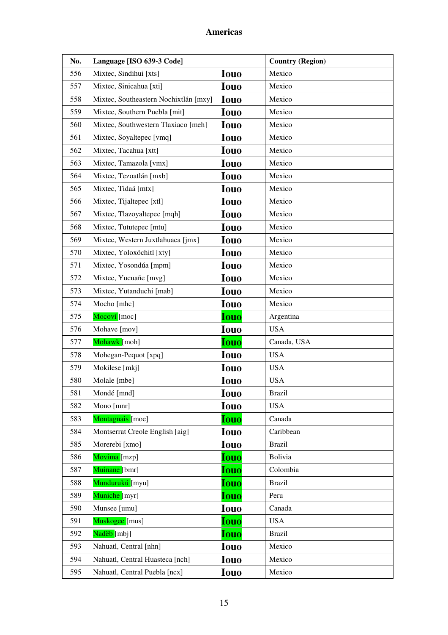| No. | Language [ISO 639-3 Code]             |             | <b>Country (Region)</b> |
|-----|---------------------------------------|-------------|-------------------------|
| 556 | Mixtec, Sindihui [xts]                | <b>Iouo</b> | Mexico                  |
| 557 | Mixtec, Sinicahua [xti]               | <b>Iouo</b> | Mexico                  |
| 558 | Mixtec, Southeastern Nochixtlán [mxy] | <b>Iouo</b> | Mexico                  |
| 559 | Mixtec, Southern Puebla [mit]         | <b>Iouo</b> | Mexico                  |
| 560 | Mixtec, Southwestern Tlaxiaco [meh]   | <b>Iouo</b> | Mexico                  |
| 561 | Mixtec, Soyaltepec [vmq]              | <b>Iouo</b> | Mexico                  |
| 562 | Mixtec, Tacahua [xtt]                 | <b>Iouo</b> | Mexico                  |
| 563 | Mixtec, Tamazola [vmx]                | <b>Iouo</b> | Mexico                  |
| 564 | Mixtec, Tezoatlán [mxb]               | <b>Iouo</b> | Mexico                  |
| 565 | Mixtec, Tidaá [mtx]                   | <b>Iouo</b> | Mexico                  |
| 566 | Mixtec, Tijaltepec [xtl]              | <b>Iouo</b> | Mexico                  |
| 567 | Mixtec, Tlazoyaltepec [mqh]           | <b>Iouo</b> | Mexico                  |
| 568 | Mixtec, Tututepec [mtu]               | <b>Iouo</b> | Mexico                  |
| 569 | Mixtec, Western Juxtlahuaca [jmx]     | <b>Iouo</b> | Mexico                  |
| 570 | Mixtec, Yoloxóchitl [xty]             | <b>Iouo</b> | Mexico                  |
| 571 | Mixtec, Yosondúa [mpm]                | <b>Iouo</b> | Mexico                  |
| 572 | Mixtec, Yucuañe [mvg]                 | <b>Iouo</b> | Mexico                  |
| 573 | Mixtec, Yutanduchi [mab]              | <b>Iouo</b> | Mexico                  |
| 574 | Mocho [mhc]                           | <b>Iouo</b> | Mexico                  |
| 575 | Mocoví [moc]                          | <b>Iouo</b> | Argentina               |
| 576 | Mohave [mov]                          | <b>Iouo</b> | <b>USA</b>              |
| 577 | Mohawk [moh]                          | <b>Iouo</b> | Canada, USA             |
| 578 | Mohegan-Pequot [xpq]                  | <b>Iouo</b> | <b>USA</b>              |
| 579 | Mokilese [mkj]                        | <b>Iouo</b> | <b>USA</b>              |
| 580 | Molale [mbe]                          | <b>Iouo</b> | <b>USA</b>              |
| 581 | Mondé [mnd]                           | <b>Iouo</b> | <b>Brazil</b>           |
| 582 | Mono [mnr]                            | <b>Iouo</b> | <b>USA</b>              |
| 583 | Montagnais [moe]                      | <b>Iouo</b> | Canada                  |
| 584 | Montserrat Creole English [aig]       | <b>Iouo</b> | Caribbean               |
| 585 | Morerebi [xmo]                        | <b>Iouo</b> | <b>Brazil</b>           |
| 586 | Movima [mzp]                          | <b>Iouo</b> | Bolivia                 |
| 587 | Muinane [bmr]                         | Iouo        | Colombia                |
| 588 | Mundurukú [myu]                       | <b>Iouo</b> | <b>Brazil</b>           |
| 589 | Muniche [myr]                         | <b>Iouo</b> | Peru                    |
| 590 | Munsee [umu]                          | <b>Iouo</b> | Canada                  |
| 591 | Muskogee [mus]                        | <b>Iouo</b> | <b>USA</b>              |
| 592 | Nadëb [mbj]                           | <b>Iouo</b> | <b>Brazil</b>           |
| 593 | Nahuatl, Central [nhn]                | Iouo        | Mexico                  |
| 594 | Nahuatl, Central Huasteca [nch]       | <b>Iouo</b> | Mexico                  |
| 595 | Nahuatl, Central Puebla [ncx]         | <b>Iouo</b> | Mexico                  |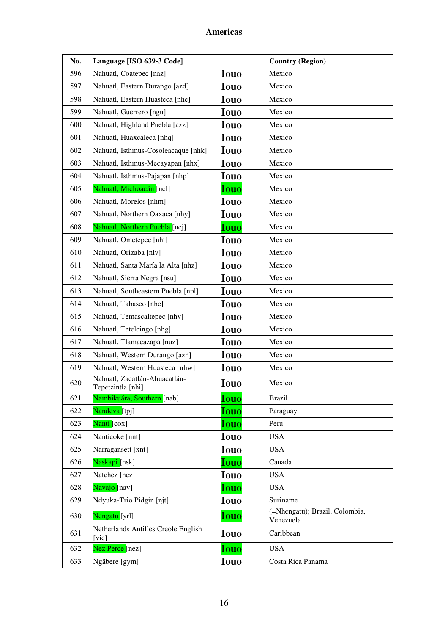| No. | Language [ISO 639-3 Code]                          |             | <b>Country (Region)</b>                     |
|-----|----------------------------------------------------|-------------|---------------------------------------------|
| 596 | Nahuatl, Coatepec [naz]                            | <b>Iouo</b> | Mexico                                      |
| 597 | Nahuatl, Eastern Durango [azd]                     | <b>Iouo</b> | Mexico                                      |
| 598 | Nahuatl, Eastern Huasteca [nhe]                    | <b>Iouo</b> | Mexico                                      |
| 599 | Nahuatl, Guerrero [ngu]                            | <b>Iouo</b> | Mexico                                      |
| 600 | Nahuatl, Highland Puebla [azz]                     | <b>Iouo</b> | Mexico                                      |
| 601 | Nahuatl, Huaxcaleca [nhq]                          | <b>Iouo</b> | Mexico                                      |
| 602 | Nahuatl, Isthmus-Cosoleacaque [nhk]                | <b>Iouo</b> | Mexico                                      |
| 603 | Nahuatl, Isthmus-Mecayapan [nhx]                   | <b>Iouo</b> | Mexico                                      |
| 604 | Nahuatl, Isthmus-Pajapan [nhp]                     | <b>Iouo</b> | Mexico                                      |
| 605 | Nahuatl, Michoacán [ncl]                           | <b>Iouo</b> | Mexico                                      |
| 606 | Nahuatl, Morelos [nhm]                             | <b>Iouo</b> | Mexico                                      |
| 607 | Nahuatl, Northern Oaxaca [nhy]                     | <b>Iouo</b> | Mexico                                      |
| 608 | Nahuatl, Northern Puebla [ncj]                     | <b>Iouo</b> | Mexico                                      |
| 609 | Nahuatl, Ometepec [nht]                            | <b>Iouo</b> | Mexico                                      |
| 610 | Nahuatl, Orizaba [nlv]                             | <b>Iouo</b> | Mexico                                      |
| 611 | Nahuatl, Santa María la Alta [nhz]                 | <b>Iouo</b> | Mexico                                      |
| 612 | Nahuatl, Sierra Negra [nsu]                        | <b>Iouo</b> | Mexico                                      |
| 613 | Nahuatl, Southeastern Puebla [npl]                 | <b>Iouo</b> | Mexico                                      |
| 614 | Nahuatl, Tabasco [nhc]                             | <b>Iouo</b> | Mexico                                      |
| 615 | Nahuatl, Temascaltepec [nhv]                       | <b>Iouo</b> | Mexico                                      |
| 616 | Nahuatl, Tetelcingo [nhg]                          | <b>Iouo</b> | Mexico                                      |
| 617 | Nahuatl, Tlamacazapa [nuz]                         | <b>Iouo</b> | Mexico                                      |
| 618 | Nahuatl, Western Durango [azn]                     | <b>Iouo</b> | Mexico                                      |
| 619 | Nahuatl, Western Huasteca [nhw]                    | <b>Iouo</b> | Mexico                                      |
| 620 | Nahuatl, Zacatlán-Ahuacatlán-<br>Tepetzintla [nhi] | <b>Iouo</b> | Mexico                                      |
| 621 | Nambikuára, Southern [nab]                         | <b>Iouo</b> | <b>Brazil</b>                               |
| 622 | Nandeva [tpj]                                      | <b>Iouo</b> | Paraguay                                    |
| 623 | Nanti [cox]                                        | <b>Iouo</b> | Peru                                        |
| 624 | Nanticoke [nnt]                                    | <b>Iouo</b> | <b>USA</b>                                  |
| 625 | Narragansett [xnt]                                 | <b>Iouo</b> | <b>USA</b>                                  |
| 626 | Naskapi [nsk]                                      | Iouo        | Canada                                      |
| 627 | Natchez [ncz]                                      | <b>Iouo</b> | <b>USA</b>                                  |
| 628 | Navajo [nav]                                       | <b>Iouo</b> | <b>USA</b>                                  |
| 629 | Ndyuka-Trio Pidgin [njt]                           | <b>Iouo</b> | Suriname                                    |
| 630 | Nengatu [yrl]                                      | <b>Iouo</b> | (=Nhengatu); Brazil, Colombia,<br>Venezuela |
| 631 | Netherlands Antilles Creole English<br>[vic]       | <b>Iouo</b> | Caribbean                                   |
| 632 | Nez Perce [nez]                                    | <b>Iouo</b> | <b>USA</b>                                  |
| 633 | Ngäbere [gym]                                      | <b>Iouo</b> | Costa Rica Panama                           |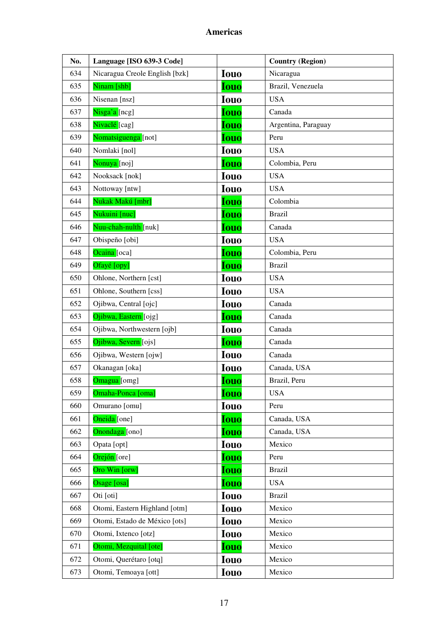| No. | Language [ISO 639-3 Code]      |             | <b>Country (Region)</b> |
|-----|--------------------------------|-------------|-------------------------|
| 634 | Nicaragua Creole English [bzk] | <b>Iouo</b> | Nicaragua               |
| 635 | Ninam [shb]                    | <b>Iouo</b> | Brazil, Venezuela       |
| 636 | Nisenan [nsz]                  | <b>Iouo</b> | <b>USA</b>              |
| 637 | Nisga'a [ncg]                  | <b>Iouo</b> | Canada                  |
| 638 | Nivaclé [cag]                  | <b>Iouo</b> | Argentina, Paraguay     |
| 639 | Nomatsiguenga [not]            | <b>Iouo</b> | Peru                    |
| 640 | Nomlaki [nol]                  | <b>Iouo</b> | <b>USA</b>              |
| 641 | Nonuya [noj]                   | <b>Iouo</b> | Colombia, Peru          |
| 642 | Nooksack [nok]                 | <b>Iouo</b> | <b>USA</b>              |
| 643 | Nottoway [ntw]                 | <b>Iouo</b> | <b>USA</b>              |
| 644 | Nukak Makú [mbr]               | <b>Iouo</b> | Colombia                |
| 645 | Nukuini [nuc]                  | <b>Iouo</b> | <b>Brazil</b>           |
| 646 | Nuu-chah-nulth [nuk]           | <b>Iouo</b> | Canada                  |
| 647 | Obispeño [obi]                 | <b>Iouo</b> | <b>USA</b>              |
| 648 | Ocaina [oca]                   | <b>Iouo</b> | Colombia, Peru          |
| 649 | Ofayé [opy]                    | <b>Iouo</b> | <b>Brazil</b>           |
| 650 | Ohlone, Northern [cst]         | <b>Iouo</b> | <b>USA</b>              |
| 651 | Ohlone, Southern [css]         | <b>Iouo</b> | <b>USA</b>              |
| 652 | Ojibwa, Central [ojc]          | <b>Iouo</b> | Canada                  |
| 653 | Ojibwa, Eastern [ojg]          | <b>Iouo</b> | Canada                  |
| 654 | Ojibwa, Northwestern [ojb]     | <b>Iouo</b> | Canada                  |
| 655 | Ojibwa, Severn [ojs]           | <b>Iouo</b> | Canada                  |
| 656 | Ojibwa, Western [ojw]          | <b>Iouo</b> | Canada                  |
| 657 | Okanagan [oka]                 | <b>Iouo</b> | Canada, USA             |
| 658 | Omagua <sup>[omg]</sup>        | <b>Iouo</b> | Brazil, Peru            |
| 659 | Omaha-Ponca [oma]              | <b>Iouo</b> | <b>USA</b>              |
| 660 | Omurano [omu]                  | <b>Iouo</b> | Peru                    |
| 661 | Oneida [one]                   | <b>Iouo</b> | Canada, USA             |
| 662 | Onondaga [ono]                 | <b>Iouo</b> | Canada, USA             |
| 663 | Opata [opt]                    | <b>Iouo</b> | Mexico                  |
| 664 | Orejón [ore]                   | <b>Iouo</b> | Peru                    |
| 665 | Oro Win [orw]                  | <b>Iouo</b> | <b>Brazil</b>           |
| 666 | Osage [osa]                    | <b>Iouo</b> | <b>USA</b>              |
| 667 | Oti [oti]                      | <b>Iouo</b> | <b>Brazil</b>           |
| 668 | Otomi, Eastern Highland [otm]  | <b>Iouo</b> | Mexico                  |
| 669 | Otomi, Estado de México [ots]  | <b>Iouo</b> | Mexico                  |
| 670 | Otomi, Ixtenco [otz]           | <b>Iouo</b> | Mexico                  |
| 671 | Otomi, Mezquital [ote]         | <b>Iouo</b> | Mexico                  |
| 672 | Otomi, Querétaro [otq]         | <b>Iouo</b> | Mexico                  |
| 673 | Otomi, Temoaya [ott]           | <b>Iouo</b> | Mexico                  |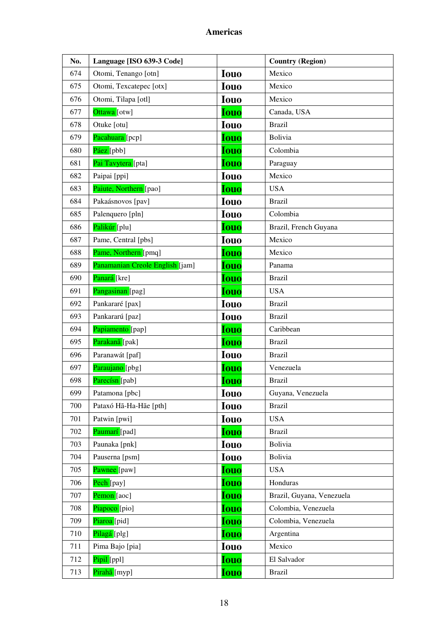| No. | Language [ISO 639-3 Code]       |             | <b>Country (Region)</b>   |
|-----|---------------------------------|-------------|---------------------------|
| 674 | Otomi, Tenango [otn]            | <b>Iouo</b> | Mexico                    |
| 675 | Otomi, Texcatepec [otx]         | <b>Iouo</b> | Mexico                    |
| 676 | Otomi, Tilapa [otl]             | <b>Iouo</b> | Mexico                    |
| 677 | Ottawa [otw]                    | <b>Iouo</b> | Canada, USA               |
| 678 | Otuke [otu]                     | <b>Iouo</b> | <b>Brazil</b>             |
| 679 | Pacahuara [pcp]                 | <b>Iouo</b> | Bolivia                   |
| 680 | Páez [pbb]                      | <b>Iouo</b> | Colombia                  |
| 681 | Pai Tavytera [pta]              | <b>Iouo</b> | Paraguay                  |
| 682 | Paipai [ppi]                    | <b>Iouo</b> | Mexico                    |
| 683 | Paiute, Northern [pao]          | <b>Iouo</b> | <b>USA</b>                |
| 684 | Pakaásnovos [pav]               | <b>Iouo</b> | <b>Brazil</b>             |
| 685 | Palenquero [pln]                | <b>Iouo</b> | Colombia                  |
| 686 | Palikúr [plu]                   | <b>Iouo</b> | Brazil, French Guyana     |
| 687 | Pame, Central [pbs]             | <b>Iouo</b> | Mexico                    |
| 688 | Pame, Northern [pmq]            | <b>Iouo</b> | Mexico                    |
| 689 | Panamanian Creole English [jam] | <b>Iouo</b> | Panama                    |
| 690 | Panará [kre]                    | <b>Iouo</b> | <b>Brazil</b>             |
| 691 | Pangasinan [pag]                | <b>Iouo</b> | <b>USA</b>                |
| 692 | Pankararé [pax]                 | <b>Iouo</b> | <b>Brazil</b>             |
| 693 | Pankararú [paz]                 | <b>Iouo</b> | <b>Brazil</b>             |
| 694 | Papiamento [pap]                | <b>Iouo</b> | Caribbean                 |
| 695 | Parakanã [pak]                  | <b>Iouo</b> | <b>Brazil</b>             |
| 696 | Paranawát [paf]                 | <b>Iouo</b> | <b>Brazil</b>             |
| 697 | Paraujano [pbg]                 | <b>Iouo</b> | Venezuela                 |
| 698 | Parecísn [pab]                  | <b>Iouo</b> | <b>Brazil</b>             |
| 699 | Patamona [pbc]                  | Iouo        | Guyana, Venezuela         |
| 700 | Pataxó Hã-Ha-Hãe [pth]          | <b>Iouo</b> | <b>Brazil</b>             |
| 701 | Patwin [pwi]                    | <b>Iouo</b> | <b>USA</b>                |
| 702 | Paumarí [pad]                   | <b>Iouo</b> | <b>Brazil</b>             |
| 703 | Paunaka [pnk]                   | <b>Iouo</b> | Bolivia                   |
| 704 | Pauserna [psm]                  | <b>Iouo</b> | Bolivia                   |
| 705 | Pawnee [paw]                    | <b>Iouo</b> | <b>USA</b>                |
| 706 | Pech [pay]                      | <b>Iouo</b> | Honduras                  |
| 707 | Pemon [aoc]                     | <b>Iouo</b> | Brazil, Guyana, Venezuela |
| 708 | Piapoco [pio]                   | <b>Iouo</b> | Colombia, Venezuela       |
| 709 | Piaroa [pid]                    | <b>Iouo</b> | Colombia, Venezuela       |
| 710 | Pilagá [plg]                    | Iouo        | Argentina                 |
| 711 | Pima Bajo [pia]                 | <b>Iouo</b> | Mexico                    |
| 712 | Pipil [ppl]                     | <b>Iouo</b> | El Salvador               |
| 713 | Pirahã [myp]                    | <b>Iouo</b> | <b>Brazil</b>             |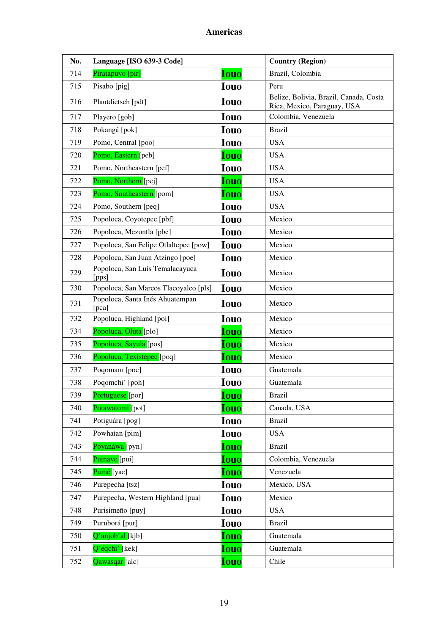| No. | Language [ISO 639-3 Code]                |             | <b>Country (Region)</b>                                               |
|-----|------------------------------------------|-------------|-----------------------------------------------------------------------|
| 714 | Piratapuyo [pir]                         | <b>Iouo</b> | Brazil, Colombia                                                      |
| 715 | Pisabo [pig]                             | <b>Iouo</b> | Peru                                                                  |
| 716 | Plautdietsch [pdt]                       | <b>Iouo</b> | Belize, Bolivia, Brazil, Canada, Costa<br>Rica, Mexico, Paraguay, USA |
| 717 | Playero [gob]                            | <b>Iouo</b> | Colombia, Venezuela                                                   |
| 718 | Pokangá [pok]                            | <b>Iouo</b> | <b>Brazil</b>                                                         |
| 719 | Pomo, Central [poo]                      | <b>Iouo</b> | <b>USA</b>                                                            |
| 720 | Pomo, Eastern [peb]                      | <b>Iouo</b> | <b>USA</b>                                                            |
| 721 | Pomo, Northeastern [pef]                 | <b>Iouo</b> | <b>USA</b>                                                            |
| 722 | Pomo, Northern [pej]                     | <b>Iouo</b> | <b>USA</b>                                                            |
| 723 | Pomo, Southeastern [pom]                 | <b>Iouo</b> | <b>USA</b>                                                            |
| 724 | Pomo, Southern [peq]                     | <b>Iouo</b> | <b>USA</b>                                                            |
| 725 | Popoloca, Coyotepec [pbf]                | <b>Iouo</b> | Mexico                                                                |
| 726 | Popoloca, Mezontla [pbe]                 | <b>Iouo</b> | Mexico                                                                |
| 727 | Popoloca, San Felipe Otlaltepec [pow]    | <b>Iouo</b> | Mexico                                                                |
| 728 | Popoloca, San Juan Atzingo [poe]         | <b>Iouo</b> | Mexico                                                                |
| 729 | Popoloca, San Luís Temalacayuca<br>[pps] | <b>Iouo</b> | Mexico                                                                |
| 730 | Popoloca, San Marcos Tlacoyalco [pls]    | <b>Iouo</b> | Mexico                                                                |
| 731 | Popoloca, Santa Inés Ahuatempan<br>[pca] | <b>Iouo</b> | Mexico                                                                |
| 732 | Popoluca, Highland [poi]                 | <b>Iouo</b> | Mexico                                                                |
| 734 | Popoluca, Oluta [plo]                    | <b>Iouo</b> | Mexico                                                                |
| 735 | Popoluca, Sayula [pos]                   | <b>Iouo</b> | Mexico                                                                |
| 736 | Popoluca, Texistepec [poq]               | <b>Iouo</b> | Mexico                                                                |
| 737 | Poqomam [poc]                            | <b>Iouo</b> | Guatemala                                                             |
| 738 | Poqomchi' [poh]                          | <b>Iouo</b> | Guatemala                                                             |
| 739 | Portuguese [por]                         | <b>Iouo</b> | <b>Brazil</b>                                                         |
| 740 | Potawatomi [pot]                         | <b>Iouo</b> | Canada, USA                                                           |
| 741 | Potiguára [pog]                          | <b>Iouo</b> | <b>Brazil</b>                                                         |
| 742 | Powhatan [pim]                           | <b>Iouo</b> | <b>USA</b>                                                            |
| 743 | Poyanáwa [pyn]                           | <b>Iouo</b> | <b>Brazil</b>                                                         |
| 744 | Puinave [pui]                            | <b>Iouo</b> | Colombia, Venezuela                                                   |
| 745 | Pumé [yae]                               | <b>Iouo</b> | Venezuela                                                             |
| 746 | Purepecha [tsz]                          | <b>Iouo</b> | Mexico, USA                                                           |
| 747 | Purepecha, Western Highland [pua]        | <b>Iouo</b> | Mexico                                                                |
| 748 | Purisimeño [puy]                         | <b>Iouo</b> | <b>USA</b>                                                            |
| 749 | Puruborá [pur]                           | <b>Iouo</b> | <b>Brazil</b>                                                         |
| 750 | Q'anjob'al [kjb]                         | <b>Iouo</b> | Guatemala                                                             |
| 751 | Q'eqchi' [kek]                           | <b>Iouo</b> | Guatemala                                                             |
| 752 | Qawasqar [alc]                           | <b>Iouo</b> | Chile                                                                 |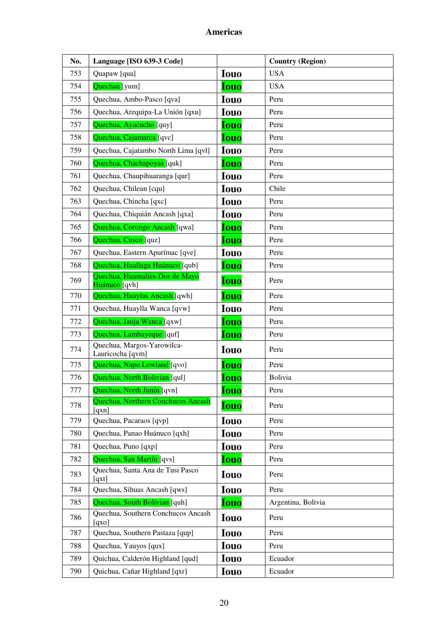| No. | Language [ISO 639-3 Code]                       |             | <b>Country (Region)</b> |
|-----|-------------------------------------------------|-------------|-------------------------|
| 753 | Quapaw [qua]                                    | <b>Iouo</b> | <b>USA</b>              |
| 754 | Quechan [yum]                                   | <b>Iouo</b> | <b>USA</b>              |
| 755 | Quechua, Ambo-Pasco [qva]                       | <b>Iouo</b> | Peru                    |
| 756 | Quechua, Arequipa-La Unión [qxu]                | <b>Iouo</b> | Peru                    |
| 757 | Quechua, Ayacucho [quy]                         | Iouo        | Peru                    |
| 758 | Quechua, Cajamarca [qvc]                        | <b>Iouo</b> | Peru                    |
| 759 | Quechua, Cajatambo North Lima [qvl]             | <b>Iouo</b> | Peru                    |
| 760 | Quechua, Chachapoyas [quk]                      | <b>Iouo</b> | Peru                    |
| 761 | Quechua, Chaupihuaranga [qur]                   | <b>Iouo</b> | Peru                    |
| 762 | Quechua, Chilean [cqu]                          | <b>Iouo</b> | Chile                   |
| 763 | Quechua, Chincha [qxc]                          | <b>Iouo</b> | Peru                    |
| 764 | Quechua, Chiquián Ancash [qxa]                  | <b>Iouo</b> | Peru                    |
| 765 | Quechua, Corongo Ancash [qwa]                   | <b>Iouo</b> | Peru                    |
| 766 | Quechua, Cusco [quz]                            | <b>Iouo</b> | Peru                    |
| 767 | Quechua, Eastern Apurímac [qve]                 | <b>Iouo</b> | Peru                    |
| 768 | Quechua, Huallaga Huánuco [qub]                 | <b>Iouo</b> | Peru                    |
| 769 | Quechua, Huamalíes-Dos de Mayo<br>Huánuco [qvh] | <b>Iouo</b> | Peru                    |
| 770 | Quechua, Huaylas Ancash [qwh]                   | <b>Iouo</b> | Peru                    |
| 771 | Quechua, Huaylla Wanca [qvw]                    | <b>Iouo</b> | Peru                    |
| 772 | Quechua, Jauja Wanca [qxw]                      | <b>Iouo</b> | Peru                    |
| 773 | Quechua, Lambayeque [quf]                       | <b>Iouo</b> | Peru                    |
| 774 | Quechua, Margos-Yarowilca-<br>Lauricocha [qvm]  | <b>Iouo</b> | Peru                    |
| 775 | Quechua, Napo Lowland [qvo]                     | <b>Iouo</b> | Peru                    |
| 776 | Quechua, North Bolivian [qul]                   | Iouo        | Bolivia                 |
| 777 | Quechua, North Junín [qvn]                      | <u>Iouo</u> | Peru                    |
| 778 | Quechua, Northern Conchucos Ancash<br>[qxn]     | <b>Iouo</b> | Peru                    |
| 779 | Quechua, Pacaraos [qvp]                         | <b>Iouo</b> | Peru                    |
| 780 | Quechua, Panao Huánuco [qxh]                    | <b>Iouo</b> | Peru                    |
| 781 | Quechua, Puno [qxp]                             | <b>Iouo</b> | Peru                    |
| 782 | Quechua, San Martín [qvs]                       | <b>Iouo</b> | Peru                    |
| 783 | Quechua, Santa Ana de Tusi Pasco<br>[qxt]       | <b>Iouo</b> | Peru                    |
| 784 | Quechua, Sihuas Ancash [qws]                    | <b>Iouo</b> | Peru                    |
| 785 | Quechua, South Bolivian [quh]                   | <b>Iouo</b> | Argentina, Bolivia      |
| 786 | Quechua, Southern Conchucos Ancash<br>[qxo]     | <b>Iouo</b> | Peru                    |
| 787 | Quechua, Southern Pastaza [qup]                 | <b>Iouo</b> | Peru                    |
| 788 | Quechua, Yauyos [qux]                           | <b>Iouo</b> | Peru                    |
| 789 | Quichua, Calderón Highland [qud]                | <b>Iouo</b> | Ecuador                 |
| 790 | Quichua, Cañar Highland [qxr]                   | Iouo        | Ecuador                 |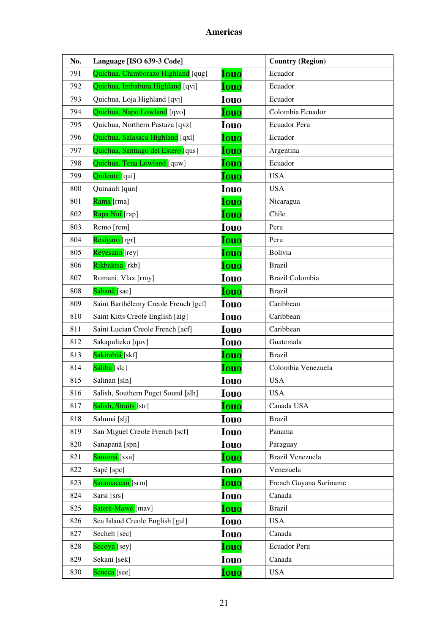| No. | Language [ISO 639-3 Code]            |             | <b>Country (Region)</b> |
|-----|--------------------------------------|-------------|-------------------------|
| 791 | Quichua, Chimborazo Highland [qug]   | <b>Iouo</b> | Ecuador                 |
| 792 | Quichua, Imbabura Highland [qvi]     | <b>Iouo</b> | Ecuador                 |
| 793 | Quichua, Loja Highland [qvj]         | <b>Iouo</b> | Ecuador                 |
| 794 | Quichua, Napo Lowland [qvo]          | <b>Iouo</b> | Colombia Ecuador        |
| 795 | Quichua, Northern Pastaza [qvz]      | <b>Iouo</b> | Ecuador Peru            |
| 796 | Quichua, Salasaca Highland [qxl]     | <b>Iouo</b> | Ecuador                 |
| 797 | Quichua, Santiago del Estero [qus]   | <b>Iouo</b> | Argentina               |
| 798 | Quichua, Tena Lowland [quw]          | <b>Iouo</b> | Ecuador                 |
| 799 | Quileute [qui]                       | <b>Iouo</b> | <b>USA</b>              |
| 800 | Quinault [qun]                       | <b>Iouo</b> | <b>USA</b>              |
| 801 | Rama [rma]                           | <b>Iouo</b> | Nicaragua               |
| 802 | Rapa Nui [rap]                       | <b>Iouo</b> | Chile                   |
| 803 | Remo [rem]                           | <b>Iouo</b> | Peru                    |
| 804 | Resígaro [rgr]                       | <b>Iouo</b> | Peru                    |
| 805 | Reyesano [rey]                       | <b>Iouo</b> | Bolivia                 |
| 806 | Rikbaktsa [rkb]                      | <b>Iouo</b> | <b>Brazil</b>           |
| 807 | Romani, Vlax [rmy]                   | <b>Iouo</b> | Brazil Colombia         |
| 808 | Sabanê [sae]                         | <b>Iouo</b> | <b>Brazil</b>           |
| 809 | Saint Barthélemy Creole French [gcf] | <b>Iouo</b> | Caribbean               |
| 810 | Saint Kitts Creole English [aig]     | <b>Iouo</b> | Caribbean               |
| 811 | Saint Lucian Creole French [acf]     | <b>Iouo</b> | Caribbean               |
| 812 | Sakapulteko [quv]                    | <b>Iouo</b> | Guatemala               |
| 813 | Sakirabiá [skf]                      | <b>Iouo</b> | <b>Brazil</b>           |
| 814 | Sáliba [slc]                         | <b>Iouo</b> | Colombia Venezuela      |
| 815 | Salinan [sln]                        | <b>Iouo</b> | <b>USA</b>              |
| 816 | Salish, Southern Puget Sound [slh]   | Iouo        | <b>USA</b>              |
| 817 | Salish, Straits [str]                | <b>Iouo</b> | Canada USA              |
| 818 | Salumá [slj]                         | <b>Iouo</b> | <b>Brazil</b>           |
| 819 | San Miguel Creole French [scf]       | <b>Iouo</b> | Panama                  |
| 820 | Sanapaná [spn]                       | <b>Iouo</b> | Paraguay                |
| 821 | Sanumá [xsu]                         | <b>Iouo</b> | Brazil Venezuela        |
| 822 | Sapé [spc]                           | <b>Iouo</b> | Venezuela               |
| 823 | Saramaccan [srm]                     | <b>Iouo</b> | French Guyana Suriname  |
| 824 | Sarsi [srs]                          | <b>Iouo</b> | Canada                  |
| 825 | Sateré-Mawé [mav]                    | <b>Iouo</b> | <b>Brazil</b>           |
| 826 | Sea Island Creole English [gul]      | <b>Iouo</b> | <b>USA</b>              |
| 827 | Sechelt [sec]                        | <b>Iouo</b> | Canada                  |
| 828 | Secoya <sup>[sey]</sup>              | <b>Iouo</b> | Ecuador Peru            |
| 829 | Sekani [sek]                         | <b>Iouo</b> | Canada                  |
| 830 | Seneca <sup>[see]</sup>              | <b>Iouo</b> | <b>USA</b>              |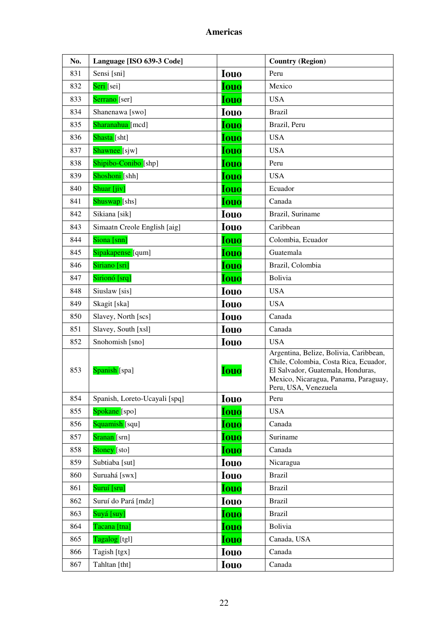| No. | Language [ISO 639-3 Code]     |             | <b>Country (Region)</b>                                                                                                                                                              |
|-----|-------------------------------|-------------|--------------------------------------------------------------------------------------------------------------------------------------------------------------------------------------|
| 831 | Sensi [sni]                   | <b>Iouo</b> | Peru                                                                                                                                                                                 |
| 832 | Seri [sei]                    | <b>Iouo</b> | Mexico                                                                                                                                                                               |
| 833 | Serrano [ser]                 | <b>Iouo</b> | <b>USA</b>                                                                                                                                                                           |
| 834 | Shanenawa [swo]               | <b>Iouo</b> | <b>Brazil</b>                                                                                                                                                                        |
| 835 | Sharanahua [mcd]              | <b>Iouo</b> | Brazil, Peru                                                                                                                                                                         |
| 836 | Shasta [sht]                  | <b>Iouo</b> | <b>USA</b>                                                                                                                                                                           |
| 837 | Shawnee [sjw]                 | <b>Iouo</b> | <b>USA</b>                                                                                                                                                                           |
| 838 | Shipibo-Conibo [shp]          | <b>Iouo</b> | Peru                                                                                                                                                                                 |
| 839 | Shoshoni [shh]                | <b>Iouo</b> | <b>USA</b>                                                                                                                                                                           |
| 840 | Shuar [jiv]                   | <b>Iouo</b> | Ecuador                                                                                                                                                                              |
| 841 | Shuswap <sup>[shs]</sup>      | <b>Iouo</b> | Canada                                                                                                                                                                               |
| 842 | Sikiana [sik]                 | <b>Iouo</b> | Brazil, Suriname                                                                                                                                                                     |
| 843 | Simaatn Creole English [aig]  | <b>Iouo</b> | Caribbean                                                                                                                                                                            |
| 844 | Siona [snn]                   | <b>Iouo</b> | Colombia, Ecuador                                                                                                                                                                    |
| 845 | Sipakapense [qum]             | <b>Iouo</b> | Guatemala                                                                                                                                                                            |
| 846 | Siriano [sri]                 | <b>Iouo</b> | Brazil, Colombia                                                                                                                                                                     |
| 847 | Sirionó [srq]                 | <b>Iouo</b> | Bolivia                                                                                                                                                                              |
| 848 | Siuslaw [sis]                 | <b>Iouo</b> | <b>USA</b>                                                                                                                                                                           |
| 849 | Skagit [ska]                  | <b>Iouo</b> | <b>USA</b>                                                                                                                                                                           |
| 850 | Slavey, North [scs]           | <b>Iouo</b> | Canada                                                                                                                                                                               |
| 851 | Slavey, South [xsl]           | <b>Iouo</b> | Canada                                                                                                                                                                               |
| 852 | Snohomish [sno]               | <b>Iouo</b> | <b>USA</b>                                                                                                                                                                           |
| 853 | Spanish [spa]                 | <b>Iouo</b> | Argentina, Belize, Bolivia, Caribbean,<br>Chile, Colombia, Costa Rica, Ecuador,<br>El Salvador, Guatemala, Honduras,<br>Mexico, Nicaragua, Panama, Paraguay,<br>Peru, USA, Venezuela |
| 854 | Spanish, Loreto-Ucayali [spq] | <b>Iouo</b> | Peru                                                                                                                                                                                 |
| 855 | Spokane [spo]                 | <b>Iouo</b> | <b>USA</b>                                                                                                                                                                           |
| 856 | Squamish [squ]                | <b>Iouo</b> | Canada                                                                                                                                                                               |
| 857 | Sranan [srn]                  | <b>Iouo</b> | Suriname                                                                                                                                                                             |
| 858 | Stoney [sto]                  | <b>Iouo</b> | Canada                                                                                                                                                                               |
| 859 | Subtiaba [sut]                | <b>Iouo</b> | Nicaragua                                                                                                                                                                            |
| 860 | Suruahá [swx]                 | <b>Iouo</b> | <b>Brazil</b>                                                                                                                                                                        |
| 861 | Suruí [sru]                   | <b>Iouo</b> | <b>Brazil</b>                                                                                                                                                                        |
| 862 | Suruí do Pará [mdz]           | <b>Iouo</b> | <b>Brazil</b>                                                                                                                                                                        |
| 863 | Suyá [suy]                    | <b>Iouo</b> | <b>Brazil</b>                                                                                                                                                                        |
| 864 | Tacana [tna]                  | <b>Iouo</b> | Bolivia                                                                                                                                                                              |
| 865 | Tagalog [tgl]                 | <b>Iouo</b> | Canada, USA                                                                                                                                                                          |
| 866 | Tagish [tgx]                  | <b>Iouo</b> | Canada                                                                                                                                                                               |
| 867 | Tahltan [tht]                 | <b>Iouo</b> | Canada                                                                                                                                                                               |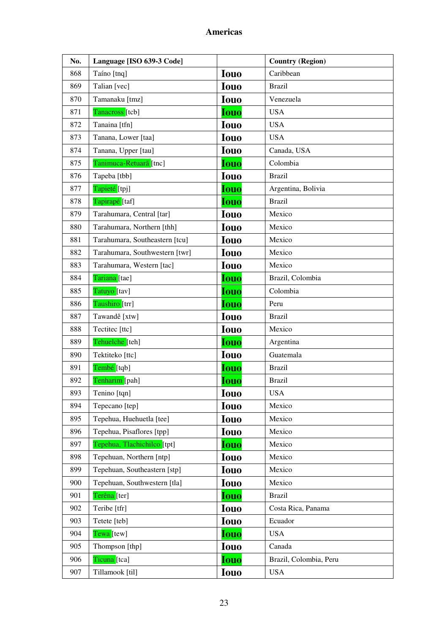| No. | Language [ISO 639-3 Code]      |             | <b>Country (Region)</b> |
|-----|--------------------------------|-------------|-------------------------|
| 868 | Taíno [tnq]                    | <b>Iouo</b> | Caribbean               |
| 869 | Talian [vec]                   | <b>Iouo</b> | <b>Brazil</b>           |
| 870 | Tamanaku [tmz]                 | <b>Iouo</b> | Venezuela               |
| 871 | Tanacross [tcb]                | <b>Iouo</b> | <b>USA</b>              |
| 872 | Tanaina [tfn]                  | <b>Iouo</b> | <b>USA</b>              |
| 873 | Tanana, Lower [taa]            | <b>Iouo</b> | <b>USA</b>              |
| 874 | Tanana, Upper [tau]            | <b>Iouo</b> | Canada, USA             |
| 875 | Tanimuca-Retuarã [tnc]         | <b>Iouo</b> | Colombia                |
| 876 | Tapeba [tbb]                   | <b>Iouo</b> | <b>Brazil</b>           |
| 877 | Tapieté [tpj]                  | <b>Iouo</b> | Argentina, Bolivia      |
| 878 | Tapirapé [taf]                 | <b>Iouo</b> | <b>Brazil</b>           |
| 879 | Tarahumara, Central [tar]      | <b>Iouo</b> | Mexico                  |
| 880 | Tarahumara, Northern [thh]     | <b>Iouo</b> | Mexico                  |
| 881 | Tarahumara, Southeastern [tcu] | <b>Iouo</b> | Mexico                  |
| 882 | Tarahumara, Southwestern [twr] | <b>Iouo</b> | Mexico                  |
| 883 | Tarahumara, Western [tac]      | <b>Iouo</b> | Mexico                  |
| 884 | Tariana [tae]                  | <b>Iouo</b> | Brazil, Colombia        |
| 885 | Tatuyo [tav]                   | <b>Iouo</b> | Colombia                |
| 886 | Taushiro [trr]                 | <b>Iouo</b> | Peru                    |
| 887 | Tawandê [xtw]                  | <b>Iouo</b> | <b>Brazil</b>           |
| 888 | Tectitec [ttc]                 | <b>Iouo</b> | Mexico                  |
| 889 | Tehuelche [teh]                | <b>Iouo</b> | Argentina               |
| 890 | Tektiteko [ttc]                | <b>Iouo</b> | Guatemala               |
| 891 | Tembé [tqb]                    | <b>Iouo</b> | <b>Brazil</b>           |
| 892 | Tenharim [pah]                 | <b>Iouo</b> | <b>Brazil</b>           |
| 893 | Tenino [tqn]                   | <b>Iouo</b> | <b>USA</b>              |
| 894 | Tepecano [tep]                 | <b>Iouo</b> | Mexico                  |
| 895 | Tepehua, Huehuetla [tee]       | <b>Iouo</b> | Mexico                  |
| 896 | Tepehua, Pisaflores [tpp]      | <b>Iouo</b> | Mexico                  |
| 897 | Tepehua, Tlachichilco [tpt]    | <b>Iouo</b> | Mexico                  |
| 898 | Tepehuan, Northern [ntp]       | <b>Iouo</b> | Mexico                  |
| 899 | Tepehuan, Southeastern [stp]   | <b>Iouo</b> | Mexico                  |
| 900 | Tepehuan, Southwestern [tla]   | <b>Iouo</b> | Mexico                  |
| 901 | Terêna [ter]                   | <b>Iouo</b> | <b>Brazil</b>           |
| 902 | Teribe [tfr]                   | Iouo        | Costa Rica, Panama      |
| 903 | Tetete [teb]                   | <b>Iouo</b> | Ecuador                 |
| 904 | Tewa [tew]                     | <b>Iouo</b> | <b>USA</b>              |
| 905 | Thompson [thp]                 | Iouo        | Canada                  |
| 906 | Ticuna [tca]                   | <b>Iouo</b> | Brazil, Colombia, Peru  |
| 907 | Tillamook [til]                | <b>Iouo</b> | <b>USA</b>              |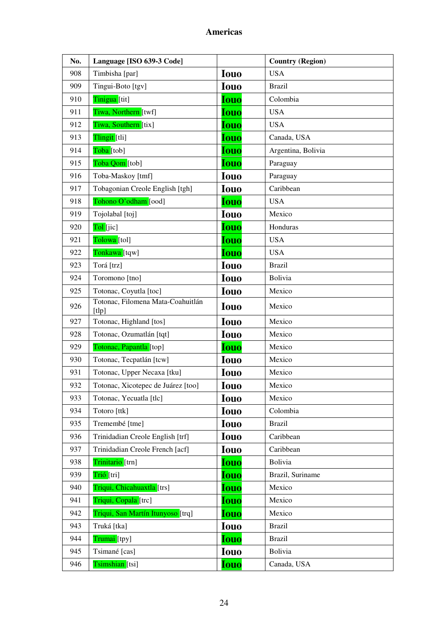| No. | Language [ISO 639-3 Code]                  |             | <b>Country (Region)</b> |
|-----|--------------------------------------------|-------------|-------------------------|
| 908 | Timbisha [par]                             | <b>Iouo</b> | <b>USA</b>              |
| 909 | Tingui-Boto [tgv]                          | <b>Iouo</b> | <b>Brazil</b>           |
| 910 | Tinigua [tit]                              | <b>Iouo</b> | Colombia                |
| 911 | Tiwa, Northern [twf]                       | <b>Iouo</b> | <b>USA</b>              |
| 912 | Tiwa, Southern [tix]                       | <b>Iouo</b> | <b>USA</b>              |
| 913 | Tlingit [tli]                              | <b>Iouo</b> | Canada, USA             |
| 914 | Toba [tob]                                 | <b>Iouo</b> | Argentina, Bolivia      |
| 915 | Toba Qom [tob]                             | <b>Iouo</b> | Paraguay                |
| 916 | Toba-Maskoy [tmf]                          | <b>Iouo</b> | Paraguay                |
| 917 | Tobagonian Creole English [tgh]            | <b>Iouo</b> | Caribbean               |
| 918 | Tohono O'odham [ood]                       | <b>Iouo</b> | <b>USA</b>              |
| 919 | Tojolabal [toj]                            | <b>Iouo</b> | Mexico                  |
| 920 | Tol [jic]                                  | <b>Iouo</b> | Honduras                |
| 921 | Tolowa [tol]                               | <b>Iouo</b> | <b>USA</b>              |
| 922 | Tonkawa [tqw]                              | <b>Iouo</b> | <b>USA</b>              |
| 923 | Torá [trz]                                 | <b>Iouo</b> | <b>Brazil</b>           |
| 924 | Toromono [tno]                             | <b>Iouo</b> | Bolivia                 |
| 925 | Totonac, Coyutla [toc]                     | <b>Iouo</b> | Mexico                  |
| 926 | Totonac, Filomena Mata-Coahuitlán<br>[tlp] | <b>Iouo</b> | Mexico                  |
| 927 | Totonac, Highland [tos]                    | <b>Iouo</b> | Mexico                  |
| 928 | Totonac, Ozumatlán [tqt]                   | <b>Iouo</b> | Mexico                  |
| 929 | Totonac, Papantla [top]                    | <b>Iouo</b> | Mexico                  |
| 930 | Totonac, Tecpatlán [tcw]                   | <b>Iouo</b> | Mexico                  |
| 931 | Totonac, Upper Necaxa [tku]                | <b>Iouo</b> | Mexico                  |
| 932 | Totonac, Xicotepec de Juárez [too]         | <b>Iouo</b> | Mexico                  |
| 933 | Totonac, Yecuatla [tlc]                    | <b>Iouo</b> | Mexico                  |
| 934 | Totoro [ttk]                               | <b>Iouo</b> | Colombia                |
| 935 | Tremembé [tme]                             | <b>Iouo</b> | <b>Brazil</b>           |
| 936 | Trinidadian Creole English [trf]           | <b>Iouo</b> | Caribbean               |
| 937 | Trinidadian Creole French [acf]            | <b>Iouo</b> | Caribbean               |
| 938 | Trinitario [trn]                           | Iouo        | Bolivia                 |
| 939 | Trió [tri]                                 | <b>Iouo</b> | Brazil, Suriname        |
| 940 | Triqui, Chicahuaxtla [trs]                 | <b>Iouo</b> | Mexico                  |
| 941 | Triqui, Copala [trc]                       | <b>Iouo</b> | Mexico                  |
| 942 | Triqui, San Martín Itunyoso [trq]          | <b>Iouo</b> | Mexico                  |
| 943 | Truká [tka]                                | <b>Iouo</b> | <b>Brazil</b>           |
| 944 | Trumai [tpy]                               | <b>Iouo</b> | <b>Brazil</b>           |
| 945 | Tsimané [cas]                              | <b>Iouo</b> | Bolivia                 |
| 946 | Tsimshian [tsi]                            | <u>Iouo</u> | Canada, USA             |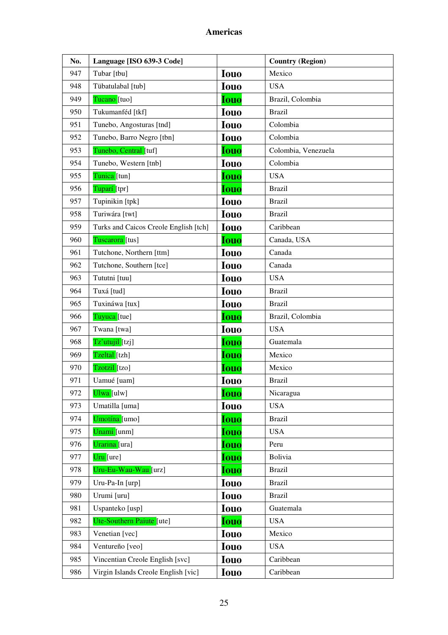| No. | Language [ISO 639-3 Code]             |             | <b>Country (Region)</b> |
|-----|---------------------------------------|-------------|-------------------------|
| 947 | Tubar [tbu]                           | <b>Iouo</b> | Mexico                  |
| 948 | Tübatulabal [tub]                     | <b>Iouo</b> | <b>USA</b>              |
| 949 | Tucano [tuo]                          | <b>Iouo</b> | Brazil, Colombia        |
| 950 | Tukumanféd [tkf]                      | <b>Iouo</b> | <b>Brazil</b>           |
| 951 | Tunebo, Angosturas [tnd]              | <b>Iouo</b> | Colombia                |
| 952 | Tunebo, Barro Negro [tbn]             | <b>Iouo</b> | Colombia                |
| 953 | Tunebo, Central [tuf]                 | <b>Iouo</b> | Colombia, Venezuela     |
| 954 | Tunebo, Western [tnb]                 | <b>Iouo</b> | Colombia                |
| 955 | Tunica [tun]                          | Iouo        | <b>USA</b>              |
| 956 | Tuparí [tpr]                          | <b>Iouo</b> | <b>Brazil</b>           |
| 957 | Tupinikin [tpk]                       | <b>Iouo</b> | <b>Brazil</b>           |
| 958 | Turiwára [twt]                        | <b>Iouo</b> | <b>Brazil</b>           |
| 959 | Turks and Caicos Creole English [tch] | <b>Iouo</b> | Caribbean               |
| 960 | Tuscarora [tus]                       | <b>Iouo</b> | Canada, USA             |
| 961 | Tutchone, Northern [ttm]              | <b>Iouo</b> | Canada                  |
| 962 | Tutchone, Southern [tce]              | <b>Iouo</b> | Canada                  |
| 963 | Tututni [tuu]                         | <b>Iouo</b> | <b>USA</b>              |
| 964 | Tuxá [tud]                            | <b>Iouo</b> | <b>Brazil</b>           |
| 965 | Tuxináwa [tux]                        | <b>Iouo</b> | <b>Brazil</b>           |
| 966 | Tuyuca [tue]                          | <b>Iouo</b> | Brazil, Colombia        |
| 967 | Twana [twa]                           | <b>Iouo</b> | <b>USA</b>              |
| 968 | Tz'utujil [tzj]                       | <b>Iouo</b> | Guatemala               |
| 969 | Tzeltal [tzh]                         | <b>Iouo</b> | Mexico                  |
| 970 | Tzotzil [tzo]                         | <b>Iouo</b> | Mexico                  |
| 971 | Uamué [uam]                           | <b>Iouo</b> | <b>Brazil</b>           |
| 972 | Ulwa [ulw]                            | <b>Iouo</b> | Nicaragua               |
| 973 | Umatilla [uma]                        | <b>Iouo</b> | <b>USA</b>              |
| 974 | Umotína [umo]                         | <b>Iouo</b> | <b>Brazil</b>           |
| 975 | Unami [unm]                           | <b>Iouo</b> | <b>USA</b>              |
| 976 | Urarina [ura]                         | <b>Iouo</b> | Peru                    |
| 977 | Uru [ure]                             | <b>Iouo</b> | Bolivia                 |
| 978 | Uru-Eu-Wau-Wau [urz]                  | <b>Iouo</b> | <b>Brazil</b>           |
| 979 | Uru-Pa-In [urp]                       | Iouo        | <b>Brazil</b>           |
| 980 | Urumi [uru]                           | <b>Iouo</b> | <b>Brazil</b>           |
| 981 | Uspanteko [usp]                       | Iouo        | Guatemala               |
| 982 | Ute-Southern Paiute [ute]             | <b>Iouo</b> | <b>USA</b>              |
| 983 | Venetian [vec]                        | <b>Iouo</b> | Mexico                  |
| 984 | Ventureño [veo]                       | Iouo        | <b>USA</b>              |
| 985 | Vincentian Creole English [svc]       | <b>Iouo</b> | Caribbean               |
| 986 | Virgin Islands Creole English [vic]   | <b>Iouo</b> | Caribbean               |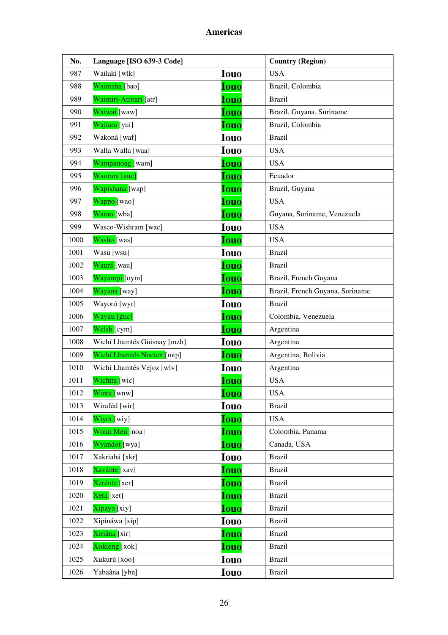| No.  | Language [ISO 639-3 Code]   |             | <b>Country (Region)</b>         |
|------|-----------------------------|-------------|---------------------------------|
| 987  | Wailaki [wlk]               | <b>Iouo</b> | <b>USA</b>                      |
| 988  | Waimaha [bao]               | <b>Iouo</b> | Brazil, Colombia                |
| 989  | Waimiri-Atroarí [atr]       | <b>Iouo</b> | <b>Brazil</b>                   |
| 990  | Waiwai [waw]                | <b>Iouo</b> | Brazil, Guyana, Suriname        |
| 991  | Wajiara [yui]               | <b>Iouo</b> | Brazil, Colombia                |
| 992  | Wakoná [waf]                | <b>Iouo</b> | <b>Brazil</b>                   |
| 993  | Walla Walla [waa]           | <b>Iouo</b> | <b>USA</b>                      |
| 994  | Wampanoag [wam]             | <b>Iouo</b> | <b>USA</b>                      |
| 995  | Waorani [auc]               | <b>Iouo</b> | Ecuador                         |
| 996  | Wapishana [wap]             | <b>Iouo</b> | Brazil, Guyana                  |
| 997  | Wappo <sup>[wao]</sup>      | <b>Iouo</b> | <b>USA</b>                      |
| 998  | Warao [wba]                 | <b>Iouo</b> | Guyana, Suriname, Venezuela     |
| 999  | Wasco-Wishram [wac]         | <b>Iouo</b> | <b>USA</b>                      |
| 1000 | Washo [was]                 | <b>Iouo</b> | <b>USA</b>                      |
| 1001 | Wasu [wsu]                  | <b>Iouo</b> | <b>Brazil</b>                   |
| 1002 | Waurá [wau]                 | <b>Iouo</b> | <b>Brazil</b>                   |
| 1003 | Wayampi [oym]               | <b>Iouo</b> | Brazil, French Guyana           |
| 1004 | Wayana [way]                | <b>Iouo</b> | Brazil, French Guyana, Suriname |
| 1005 | Wayoró [wyr]                | <b>Iouo</b> | <b>Brazil</b>                   |
| 1006 | Wayuu [guc]                 | <b>Iouo</b> | Colombia, Venezuela             |
| 1007 | Welsh [cym]                 | <b>Iouo</b> | Argentina                       |
| 1008 | Wichí Lhamtés Güisnay [mzh] | <b>Iouo</b> | Argentina                       |
| 1009 | Wichí Lhamtés Nocten [mtp]  | <b>Iouo</b> | Argentina, Bolivia              |
| 1010 | Wichí Lhamtés Vejoz [wlv]   | <b>Iouo</b> | Argentina                       |
| 1011 | Wichita [wic]               | <b>Iouo</b> | <b>USA</b>                      |
| 1012 | Wintu [wnw]                 | <b>Iouo</b> | <b>USA</b>                      |
| 1013 | Wiraféd [wir]               | <b>Iouo</b> | <b>Brazil</b>                   |
| 1014 | Wiyot [wiy]                 | <b>Iouo</b> | <b>USA</b>                      |
| 1015 | Woun Meu [noa]              | <b>Iouo</b> | Colombia, Panama                |
| 1016 | Wyandot [wya]               | <b>Iouo</b> | Canada, USA                     |
| 1017 | Xakriabá [xkr]              | <b>Iouo</b> | <b>Brazil</b>                   |
| 1018 | Xavánte [xav]               | <b>Iouo</b> | <b>Brazil</b>                   |
| 1019 | Xerénte [xer]               | <b>Iouo</b> | <b>Brazil</b>                   |
| 1020 | Xetá [xet]                  | <b>Iouo</b> | <b>Brazil</b>                   |
| 1021 | Xipaya <sup>[xiy]</sup>     | <b>Iouo</b> | <b>Brazil</b>                   |
| 1022 | Xipináwa [xip]              | <b>Iouo</b> | <b>Brazil</b>                   |
| 1023 | Xiriâna [xir]               | <b>Iouo</b> | <b>Brazil</b>                   |
| 1024 | Xokleng [xok]               | <b>Iouo</b> | <b>Brazil</b>                   |
| 1025 | Xukurú [xoo]                | <b>Iouo</b> | <b>Brazil</b>                   |
| 1026 | Yabaâna [ybn]               | <b>Iouo</b> | <b>Brazil</b>                   |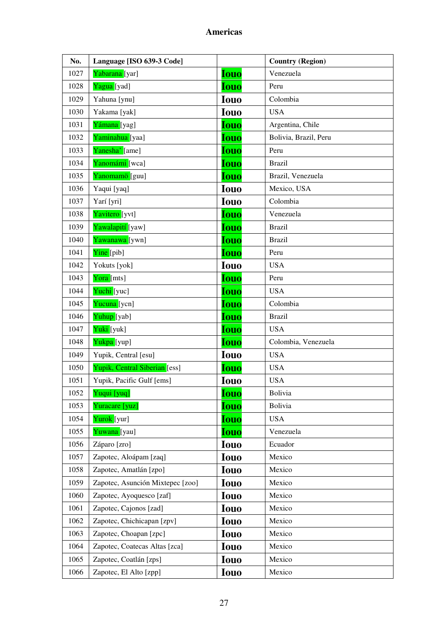| No.  | Language [ISO 639-3 Code]        |             | <b>Country (Region)</b> |
|------|----------------------------------|-------------|-------------------------|
| 1027 | Yabarana [yar]                   | <b>Iouo</b> | Venezuela               |
| 1028 | Yagua [yad]                      | <b>Iouo</b> | Peru                    |
| 1029 | Yahuna [ynu]                     | <b>Iouo</b> | Colombia                |
| 1030 | Yakama [yak]                     | <b>Iouo</b> | <b>USA</b>              |
| 1031 | Yámana [yag]                     | <b>Iouo</b> | Argentina, Chile        |
| 1032 | Yaminahua [yaa]                  | <b>Iouo</b> | Bolivia, Brazil, Peru   |
| 1033 | Yanesha' [ame]                   | <b>Iouo</b> | Peru                    |
| 1034 | Yanomámi [wca]                   | <b>Iouo</b> | <b>Brazil</b>           |
| 1035 | Yanomamö [guu]                   | <b>Iouo</b> | Brazil, Venezuela       |
| 1036 | Yaqui [yaq]                      | <b>Iouo</b> | Mexico, USA             |
| 1037 | Yarí [yri]                       | <b>Iouo</b> | Colombia                |
| 1038 | Yavitero [yvt]                   | <b>Iouo</b> | Venezuela               |
| 1039 | Yawalapití [yaw]                 | <b>Iouo</b> | <b>Brazil</b>           |
| 1040 | Yawanawa [ywn]                   | <b>Iouo</b> | <b>Brazil</b>           |
| 1041 | Yine [pib]                       | <b>Iouo</b> | Peru                    |
| 1042 | Yokuts [yok]                     | <b>Iouo</b> | <b>USA</b>              |
| 1043 | Yora [mts]                       | <b>Iouo</b> | Peru                    |
| 1044 | Yuchi [yuc]                      | <b>Iouo</b> | <b>USA</b>              |
| 1045 | Yucuna [ycn]                     | <b>Iouo</b> | Colombia                |
| 1046 | Yuhup [yab]                      | <b>Iouo</b> | <b>Brazil</b>           |
| 1047 | Yuki [yuk]                       | <b>Iouo</b> | <b>USA</b>              |
| 1048 | Yukpa [yup]                      | <b>Iouo</b> | Colombia, Venezuela     |
| 1049 | Yupik, Central [esu]             | <b>Iouo</b> | <b>USA</b>              |
| 1050 | Yupik, Central Siberian [ess]    | <b>Iouo</b> | <b>USA</b>              |
| 1051 | Yupik, Pacific Gulf [ems]        | <b>Iouo</b> | <b>USA</b>              |
| 1052 | Yuqui [yuq]                      | <b>Iouo</b> | Bolivia                 |
| 1053 | Yuracare [yuz]                   | <b>Iouo</b> | Bolivia                 |
| 1054 | Yurok [yur]                      | <b>Iouo</b> | <b>USA</b>              |
| 1055 | Yuwana [yau]                     | <b>Iouo</b> | Venezuela               |
| 1056 | Záparo [zro]                     | <b>Iouo</b> | Ecuador                 |
| 1057 | Zapotec, Aloápam [zaq]           | <b>Iouo</b> | Mexico                  |
| 1058 | Zapotec, Amatlán [zpo]           | <b>Iouo</b> | Mexico                  |
| 1059 | Zapotec, Asunción Mixtepec [zoo] | <b>Iouo</b> | Mexico                  |
| 1060 | Zapotec, Ayoquesco [zaf]         | <b>Iouo</b> | Mexico                  |
| 1061 | Zapotec, Cajonos [zad]           | <b>Iouo</b> | Mexico                  |
| 1062 | Zapotec, Chichicapan [zpv]       | <b>Iouo</b> | Mexico                  |
| 1063 | Zapotec, Choapan [zpc]           | <b>Iouo</b> | Mexico                  |
| 1064 | Zapotec, Coatecas Altas [zca]    | <b>Iouo</b> | Mexico                  |
| 1065 | Zapotec, Coatlán [zps]           | <b>Iouo</b> | Mexico                  |
| 1066 | Zapotec, El Alto [zpp]           | <b>Iouo</b> | Mexico                  |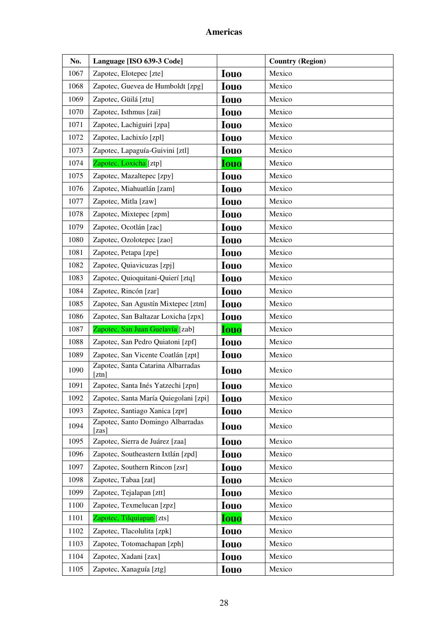| No.  | Language [ISO 639-3 Code]                   |             | <b>Country (Region)</b> |
|------|---------------------------------------------|-------------|-------------------------|
| 1067 | Zapotec, Elotepec [zte]                     | <b>Iouo</b> | Mexico                  |
| 1068 | Zapotec, Guevea de Humboldt [zpg]           | <b>Iouo</b> | Mexico                  |
| 1069 | Zapotec, Güilá [ztu]                        | <b>Iouo</b> | Mexico                  |
| 1070 | Zapotec, Isthmus [zai]                      | <b>Iouo</b> | Mexico                  |
| 1071 | Zapotec, Lachiguiri [zpa]                   | <b>Iouo</b> | Mexico                  |
| 1072 | Zapotec, Lachixío [zpl]                     | <b>Iouo</b> | Mexico                  |
| 1073 | Zapotec, Lapaguía-Guivini [ztl]             | <b>Iouo</b> | Mexico                  |
| 1074 | Zapotec, Loxicha [ztp]                      | <b>Iouo</b> | Mexico                  |
| 1075 | Zapotec, Mazaltepec [zpy]                   | <b>Iouo</b> | Mexico                  |
| 1076 | Zapotec, Miahuatlán [zam]                   | <b>Iouo</b> | Mexico                  |
| 1077 | Zapotec, Mitla [zaw]                        | <b>Iouo</b> | Mexico                  |
| 1078 | Zapotec, Mixtepec [zpm]                     | <b>Iouo</b> | Mexico                  |
| 1079 | Zapotec, Ocotlán [zac]                      | <b>Iouo</b> | Mexico                  |
| 1080 | Zapotec, Ozolotepec [zao]                   | <b>Iouo</b> | Mexico                  |
| 1081 | Zapotec, Petapa [zpe]                       | <b>Iouo</b> | Mexico                  |
| 1082 | Zapotec, Quiavicuzas [zpj]                  | <b>Iouo</b> | Mexico                  |
| 1083 | Zapotec, Quioquitani-Quierí [ztq]           | <b>Iouo</b> | Mexico                  |
| 1084 | Zapotec, Rincón [zar]                       | <b>Iouo</b> | Mexico                  |
| 1085 | Zapotec, San Agustín Mixtepec [ztm]         | <b>Iouo</b> | Mexico                  |
| 1086 | Zapotec, San Baltazar Loxicha [zpx]         | <b>Iouo</b> | Mexico                  |
| 1087 | Zapotec, San Juan Guelavía [zab]            | <b>Iouo</b> | Mexico                  |
| 1088 | Zapotec, San Pedro Quiatoni [zpf]           | <b>Iouo</b> | Mexico                  |
| 1089 | Zapotec, San Vicente Coatlán [zpt]          | <b>Iouo</b> | Mexico                  |
| 1090 | Zapotec, Santa Catarina Albarradas<br>[ztn] | <b>Iouo</b> | Mexico                  |
| 1091 | Zapotec, Santa Inés Yatzechi [zpn]          | <b>Iouo</b> | Mexico                  |
| 1092 | Zapotec, Santa María Quiegolani [zpi]       | <b>Iouo</b> | Mexico                  |
| 1093 | Zapotec, Santiago Xanica [zpr]              | <b>Iouo</b> | Mexico                  |
| 1094 | Zapotec, Santo Domingo Albarradas<br>[zas]  | <b>Iouo</b> | Mexico                  |
| 1095 | Zapotec, Sierra de Juárez [zaa]             | <b>Iouo</b> | Mexico                  |
| 1096 | Zapotec, Southeastern Ixtlán [zpd]          | <b>Iouo</b> | Mexico                  |
| 1097 | Zapotec, Southern Rincon [zsr]              | <b>Iouo</b> | Mexico                  |
| 1098 | Zapotec, Tabaa [zat]                        | <b>Iouo</b> | Mexico                  |
| 1099 | Zapotec, Tejalapan [ztt]                    | <b>Iouo</b> | Mexico                  |
| 1100 | Zapotec, Texmelucan [zpz]                   | <b>Iouo</b> | Mexico                  |
| 1101 | Zapotec, Tilquiapan [zts]                   | <b>Iouo</b> | Mexico                  |
| 1102 | Zapotec, Tlacolulita [zpk]                  | <b>Iouo</b> | Mexico                  |
| 1103 | Zapotec, Totomachapan [zph]                 | <b>Iouo</b> | Mexico                  |
| 1104 | Zapotec, Xadani [zax]                       | <b>Iouo</b> | Mexico                  |
| 1105 | Zapotec, Xanaguía [ztg]                     | <b>Iouo</b> | Mexico                  |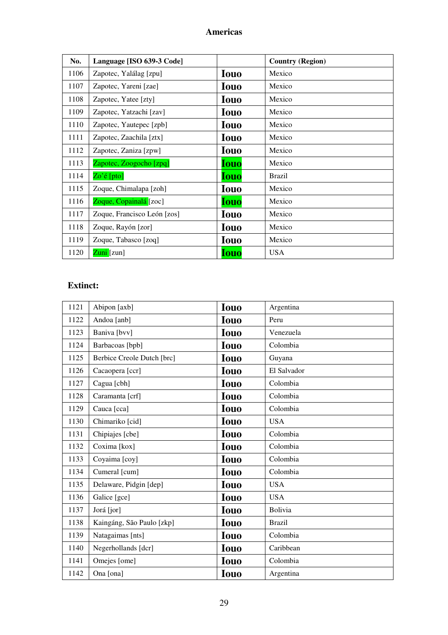| No.  | Language [ISO 639-3 Code]   |             | <b>Country (Region)</b> |
|------|-----------------------------|-------------|-------------------------|
| 1106 | Zapotec, Yalálag [zpu]      | <b>Iouo</b> | Mexico                  |
| 1107 | Zapotec, Yareni [zae]       | <b>Iouo</b> | Mexico                  |
| 1108 | Zapotec, Yatee [zty]        | <b>Iouo</b> | Mexico                  |
| 1109 | Zapotec, Yatzachi [zav]     | <b>Iouo</b> | Mexico                  |
| 1110 | Zapotec, Yautepec [zpb]     | <b>Iouo</b> | Mexico                  |
| 1111 | Zapotec, Zaachila [ztx]     | <b>Iouo</b> | Mexico                  |
| 1112 | Zapotec, Zaniza [zpw]       | Iouo        | Mexico                  |
| 1113 | Zapotec, Zoogocho [zpq]     | Iouo        | Mexico                  |
| 1114 | $Zo'$ é [pto]               | Iouo        | <b>Brazil</b>           |
| 1115 | Zoque, Chimalapa [zoh]      | <b>Iouo</b> | Mexico                  |
| 1116 | Zoque, Copainalá [zoc]      | Iouo        | Mexico                  |
| 1117 | Zoque, Francisco León [zos] | <b>Iouo</b> | Mexico                  |
| 1118 | Zoque, Rayón [zor]          | <b>Iouo</b> | Mexico                  |
| 1119 | Zoque, Tabasco [zoq]        | <b>Iouo</b> | Mexico                  |
| 1120 | Zuni [zun]                  | <b>Iouo</b> | <b>USA</b>              |

# **Extinct:**

| 1121 | Abipon [axb]               | <b>Iouo</b> | Argentina     |
|------|----------------------------|-------------|---------------|
| 1122 | Andoa [anb]                | <b>Iouo</b> | Peru          |
| 1123 | Baniva [bvv]               | <b>Iouo</b> | Venezuela     |
| 1124 | Barbacoas [bpb]            | <b>Iouo</b> | Colombia      |
| 1125 | Berbice Creole Dutch [brc] | <b>Iouo</b> | Guyana        |
| 1126 | Cacaopera [ccr]            | <b>Iouo</b> | El Salvador   |
| 1127 | Cagua [cbh]                | <b>Iouo</b> | Colombia      |
| 1128 | Caramanta [crf]            | <b>Iouo</b> | Colombia      |
| 1129 | Cauca [cca]                | <b>Iouo</b> | Colombia      |
| 1130 | Chimariko [cid]            | <b>Iouo</b> | <b>USA</b>    |
| 1131 | Chipiajes [cbe]            | <b>Iouo</b> | Colombia      |
| 1132 | Coxima [kox]               | <b>Iouo</b> | Colombia      |
| 1133 | Coyaima [coy]              | <b>Iouo</b> | Colombia      |
| 1134 | Cumeral [cum]              | <b>Iouo</b> | Colombia      |
| 1135 | Delaware, Pidgin [dep]     | <b>Iouo</b> | <b>USA</b>    |
| 1136 | Galice [gce]               | <b>Iouo</b> | <b>USA</b>    |
| 1137 | Jorá [jor]                 | <b>Iouo</b> | Bolivia       |
| 1138 | Kaingáng, São Paulo [zkp]  | <b>Iouo</b> | <b>Brazil</b> |
| 1139 | Natagaimas [nts]           | <b>Iouo</b> | Colombia      |
| 1140 | Negerhollands [dcr]        | <b>Iouo</b> | Caribbean     |
| 1141 | Omejes [ome]               | <b>Iouo</b> | Colombia      |
| 1142 | Ona [ona]                  | <b>Iouo</b> | Argentina     |